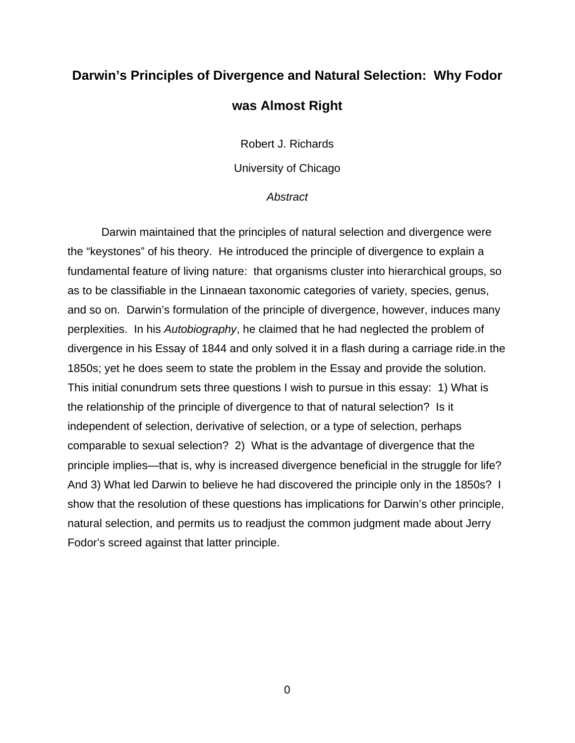## **Darwin's Principles of Divergence and Natural Selection: Why Fodor was Almost Right**

Robert J. Richards

University of Chicago

#### *Abstract*

 Darwin maintained that the principles of natural selection and divergence were the "keystones" of his theory. He introduced the principle of divergence to explain a fundamental feature of living nature: that organisms cluster into hierarchical groups, so as to be classifiable in the Linnaean taxonomic categories of variety, species, genus, and so on. Darwin's formulation of the principle of divergence, however, induces many perplexities. In his *Autobiography*, he claimed that he had neglected the problem of divergence in his Essay of 1844 and only solved it in a flash during a carriage ride.in the 1850s; yet he does seem to state the problem in the Essay and provide the solution. This initial conundrum sets three questions I wish to pursue in this essay: 1) What is the relationship of the principle of divergence to that of natural selection? Is it independent of selection, derivative of selection, or a type of selection, perhaps comparable to sexual selection? 2) What is the advantage of divergence that the principle implies—that is, why is increased divergence beneficial in the struggle for life? And 3) What led Darwin to believe he had discovered the principle only in the 1850s? I show that the resolution of these questions has implications for Darwin's other principle, natural selection, and permits us to readjust the common judgment made about Jerry Fodor's screed against that latter principle.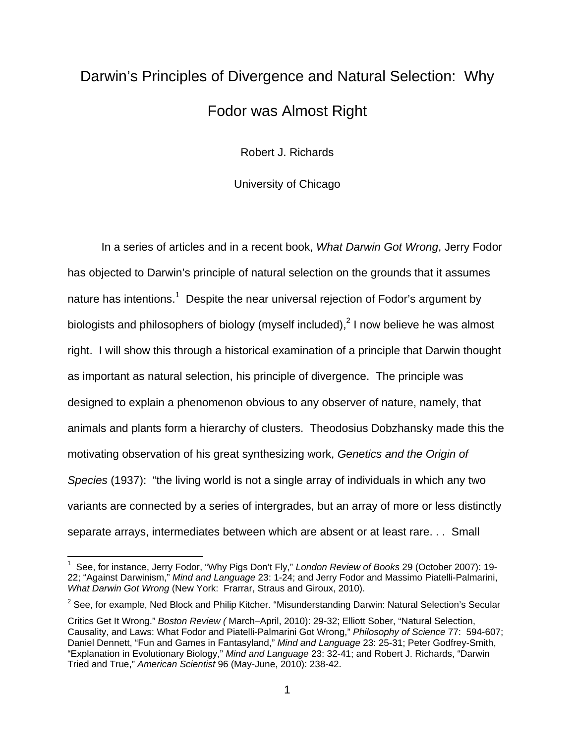# Darwin's Principles of Divergence and Natural Selection: Why Fodor was Almost Right

Robert J. Richards

University of Chicago

 In a series of articles and in a recent book, *What Darwin Got Wrong*, Jerry Fodor has objected to Darwin's principle of natural selection on the grounds that it assumes nature has intentions.<sup>1</sup> Despite the near universal rejection of Fodor's argument by biologists and philosophers of biology (myself included),<sup>2</sup> I now believe he was almost right. I will show this through a historical examination of a principle that Darwin thought as important as natural selection, his principle of divergence. The principle was designed to explain a phenomenon obvious to any observer of nature, namely, that animals and plants form a hierarchy of clusters. Theodosius Dobzhansky made this the motivating observation of his great synthesizing work, *Genetics and the Origin of Species* (1937): "the living world is not a single array of individuals in which any two variants are connected by a series of intergrades, but an array of more or less distinctly separate arrays, intermediates between which are absent or at least rare. . . Small

<sup>1</sup> See, for instance, Jerry Fodor, "Why Pigs Don't Fly," *London Review of Books* 29 (October 2007): 19- 22; "Against Darwinism," *Mind and Language* 23: 1-24; and Jerry Fodor and Massimo Piatelli-Palmarini, *What Darwin Got Wrong* (New York: Frarrar, Straus and Giroux, 2010).

 $2$  See, for example, Ned Block and Philip Kitcher. "Misunderstanding Darwin: Natural Selection's Secular

Critics Get It Wrong." *Boston Review (* March–April, 2010): 29-32; Elliott Sober, "Natural Selection, Causality, and Laws: What Fodor and Piatelli-Palmarini Got Wrong," *Philosophy of Science* 77: 594-607; Daniel Dennett, "Fun and Games in Fantasyland," *Mind and Language* 23: 25-31; Peter Godfrey-Smith, "Explanation in Evolutionary Biology," *Mind and Language* 23: 32-41; and Robert J. Richards, "Darwin Tried and True," *American Scientist* 96 (May-June, 2010): 238-42.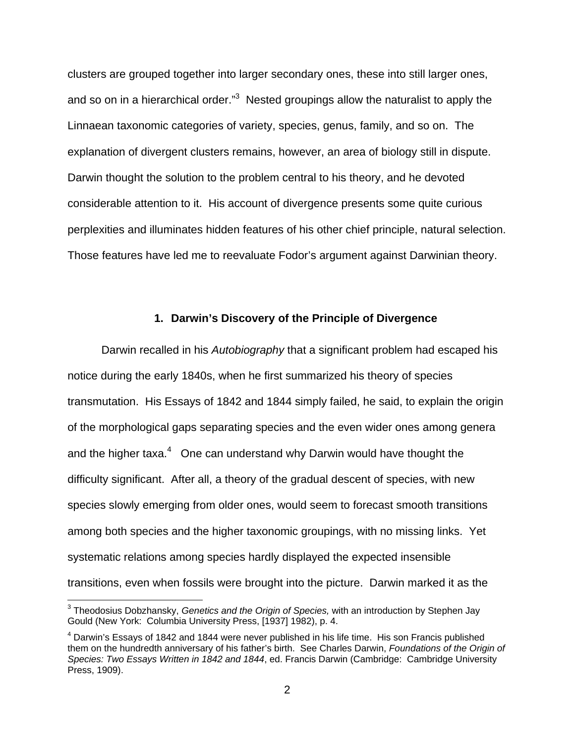clusters are grouped together into larger secondary ones, these into still larger ones, and so on in a hierarchical order."<sup>3</sup> Nested groupings allow the naturalist to apply the Linnaean taxonomic categories of variety, species, genus, family, and so on. The explanation of divergent clusters remains, however, an area of biology still in dispute. Darwin thought the solution to the problem central to his theory, and he devoted considerable attention to it. His account of divergence presents some quite curious perplexities and illuminates hidden features of his other chief principle, natural selection. Those features have led me to reevaluate Fodor's argument against Darwinian theory.

#### **1. Darwin's Discovery of the Principle of Divergence**

 Darwin recalled in his *Autobiography* that a significant problem had escaped his notice during the early 1840s, when he first summarized his theory of species transmutation. His Essays of 1842 and 1844 simply failed, he said, to explain the origin of the morphological gaps separating species and the even wider ones among genera and the higher taxa. $4$  One can understand why Darwin would have thought the difficulty significant. After all, a theory of the gradual descent of species, with new species slowly emerging from older ones, would seem to forecast smooth transitions among both species and the higher taxonomic groupings, with no missing links. Yet systematic relations among species hardly displayed the expected insensible transitions, even when fossils were brought into the picture. Darwin marked it as the

<sup>3</sup> Theodosius Dobzhansky, *Genetics and the Origin of Species,* with an introduction by Stephen Jay Gould (New York: Columbia University Press, [1937] 1982), p. 4.

 $<sup>4</sup>$  Darwin's Essays of 1842 and 1844 were never published in his life time. His son Francis published</sup> them on the hundredth anniversary of his father's birth. See Charles Darwin, *Foundations of the Origin of Species: Two Essays Written in 1842 and 1844*, ed. Francis Darwin (Cambridge: Cambridge University Press, 1909).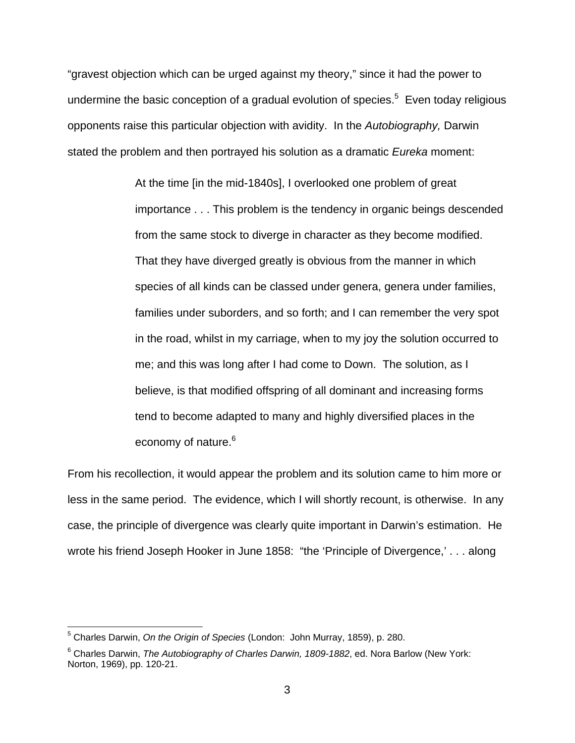"gravest objection which can be urged against my theory," since it had the power to undermine the basic conception of a gradual evolution of species.<sup>5</sup> Even today religious opponents raise this particular objection with avidity. In the *Autobiography,* Darwin stated the problem and then portrayed his solution as a dramatic *Eureka* moment:

> At the time [in the mid-1840s], I overlooked one problem of great importance . . . This problem is the tendency in organic beings descended from the same stock to diverge in character as they become modified. That they have diverged greatly is obvious from the manner in which species of all kinds can be classed under genera, genera under families, families under suborders, and so forth; and I can remember the very spot in the road, whilst in my carriage, when to my joy the solution occurred to me; and this was long after I had come to Down. The solution, as I believe, is that modified offspring of all dominant and increasing forms tend to become adapted to many and highly diversified places in the economy of nature.<sup>6</sup>

From his recollection, it would appear the problem and its solution came to him more or less in the same period. The evidence, which I will shortly recount, is otherwise. In any case, the principle of divergence was clearly quite important in Darwin's estimation. He wrote his friend Joseph Hooker in June 1858: "the 'Principle of Divergence,' . . . along

 5 Charles Darwin, *On the Origin of Species* (London: John Murray, 1859), p. 280.

<sup>6</sup> Charles Darwin, *The Autobiography of Charles Darwin, 1809-1882*, ed. Nora Barlow (New York: Norton, 1969), pp. 120-21.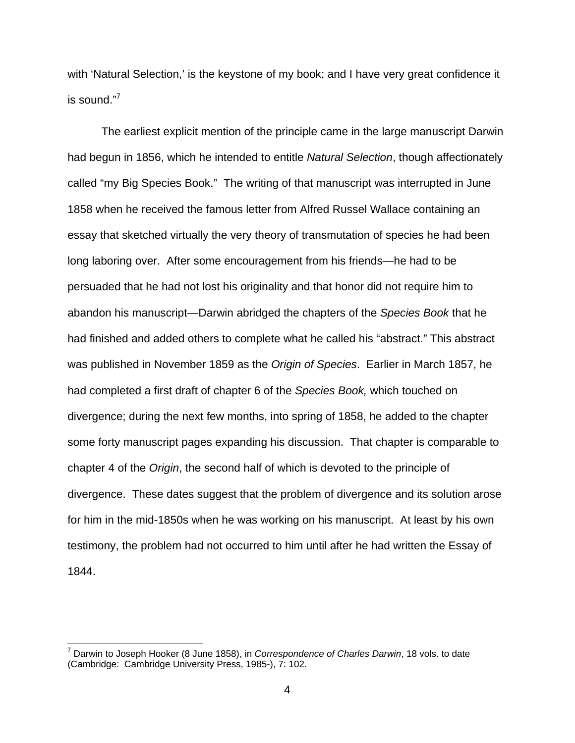with 'Natural Selection,' is the keystone of my book; and I have very great confidence it is sound."<sup>7</sup>

 The earliest explicit mention of the principle came in the large manuscript Darwin had begun in 1856, which he intended to entitle *Natural Selection*, though affectionately called "my Big Species Book." The writing of that manuscript was interrupted in June 1858 when he received the famous letter from Alfred Russel Wallace containing an essay that sketched virtually the very theory of transmutation of species he had been long laboring over. After some encouragement from his friends—he had to be persuaded that he had not lost his originality and that honor did not require him to abandon his manuscript—Darwin abridged the chapters of the *Species Book* that he had finished and added others to complete what he called his "abstract." This abstract was published in November 1859 as the *Origin of Species*. Earlier in March 1857, he had completed a first draft of chapter 6 of the *Species Book,* which touched on divergence; during the next few months, into spring of 1858, he added to the chapter some forty manuscript pages expanding his discussion. That chapter is comparable to chapter 4 of the *Origin*, the second half of which is devoted to the principle of divergence. These dates suggest that the problem of divergence and its solution arose for him in the mid-1850s when he was working on his manuscript. At least by his own testimony, the problem had not occurred to him until after he had written the Essay of 1844.

<sup>7</sup> Darwin to Joseph Hooker (8 June 1858), in *Correspondence of Charles Darwin*, 18 vols. to date (Cambridge: Cambridge University Press, 1985-), 7: 102.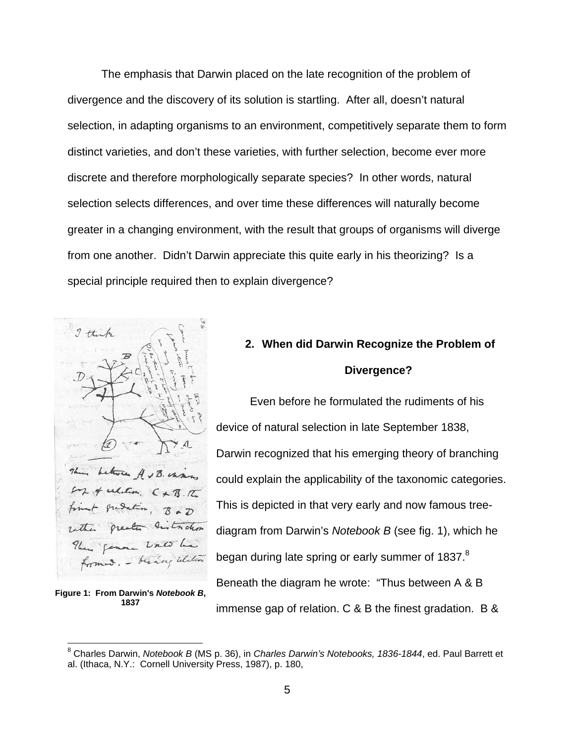The emphasis that Darwin placed on the late recognition of the problem of divergence and the discovery of its solution is startling. After all, doesn't natural selection, in adapting organisms to an environment, competitively separate them to form distinct varieties, and don't these varieties, with further selection, become ever more discrete and therefore morphologically separate species? In other words, natural selection selects differences, and over time these differences will naturally become greater in a changing environment, with the result that groups of organisms will diverge from one another. Didn't Darwin appreciate this quite early in his theorizing? Is a special principle required then to explain divergence?



**Figure 1: From Darwin's** *Notebook B***, 1837**

1

## **2. When did Darwin Recognize the Problem of Divergence?**

 Even before he formulated the rudiments of his device of natural selection in late September 1838, Darwin recognized that his emerging theory of branching could explain the applicability of the taxonomic categories. This is depicted in that very early and now famous treediagram from Darwin's *Notebook B* (see fig. 1), which he began during late spring or early summer of 1837. $8$ Beneath the diagram he wrote: "Thus between A & B immense gap of relation. C & B the finest gradation. B &

<sup>8</sup> Charles Darwin, *Notebook B* (MS p. 36), in *Charles Darwin's Notebooks, 1836-1844*, ed. Paul Barrett et al. (Ithaca, N.Y.: Cornell University Press, 1987), p. 180,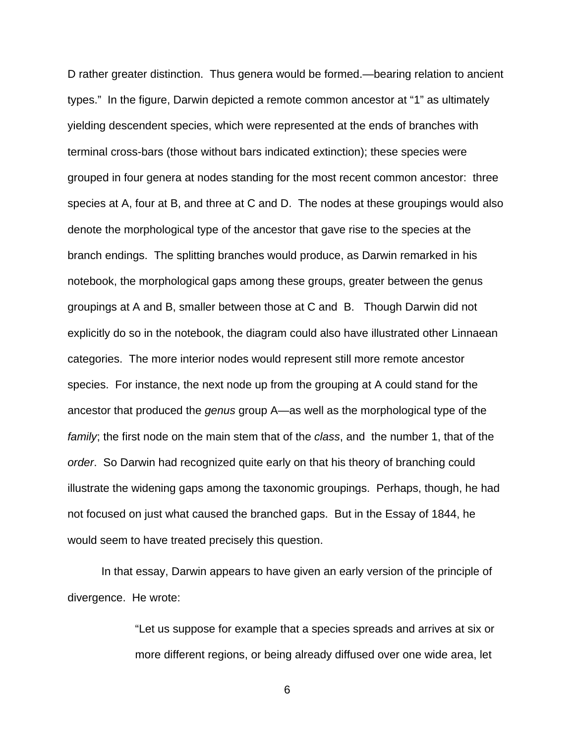D rather greater distinction. Thus genera would be formed.—bearing relation to ancient types." In the figure, Darwin depicted a remote common ancestor at "1" as ultimately yielding descendent species, which were represented at the ends of branches with terminal cross-bars (those without bars indicated extinction); these species were grouped in four genera at nodes standing for the most recent common ancestor: three species at A, four at B, and three at C and D. The nodes at these groupings would also denote the morphological type of the ancestor that gave rise to the species at the branch endings. The splitting branches would produce, as Darwin remarked in his notebook, the morphological gaps among these groups, greater between the genus groupings at A and B, smaller between those at C and B. Though Darwin did not explicitly do so in the notebook, the diagram could also have illustrated other Linnaean categories. The more interior nodes would represent still more remote ancestor species. For instance, the next node up from the grouping at A could stand for the ancestor that produced the *genus* group A—as well as the morphological type of the *family*; the first node on the main stem that of the *class*, and the number 1, that of the *order*. So Darwin had recognized quite early on that his theory of branching could illustrate the widening gaps among the taxonomic groupings. Perhaps, though, he had not focused on just what caused the branched gaps. But in the Essay of 1844, he would seem to have treated precisely this question.

 In that essay, Darwin appears to have given an early version of the principle of divergence. He wrote:

> "Let us suppose for example that a species spreads and arrives at six or more different regions, or being already diffused over one wide area, let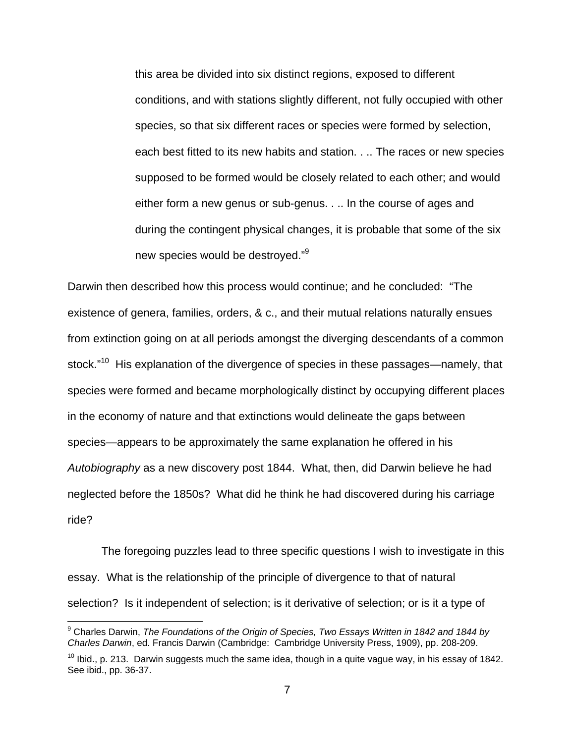this area be divided into six distinct regions, exposed to different conditions, and with stations slightly different, not fully occupied with other species, so that six different races or species were formed by selection, each best fitted to its new habits and station. . .. The races or new species supposed to be formed would be closely related to each other; and would either form a new genus or sub-genus. . .. In the course of ages and during the contingent physical changes, it is probable that some of the six new species would be destroyed."<sup>9</sup>

Darwin then described how this process would continue; and he concluded: "The existence of genera, families, orders, & c., and their mutual relations naturally ensues from extinction going on at all periods amongst the diverging descendants of a common stock."<sup>10</sup> His explanation of the divergence of species in these passages—namely, that species were formed and became morphologically distinct by occupying different places in the economy of nature and that extinctions would delineate the gaps between species—appears to be approximately the same explanation he offered in his *Autobiography* as a new discovery post 1844. What, then, did Darwin believe he had neglected before the 1850s? What did he think he had discovered during his carriage ride?

 The foregoing puzzles lead to three specific questions I wish to investigate in this essay. What is the relationship of the principle of divergence to that of natural selection? Is it independent of selection; is it derivative of selection; or is it a type of

<sup>&</sup>lt;sup>9</sup> Charles Darwin, *The Foundations of the Origin of Species, Two Essays Written in 1842 and 1844 by Charles Darwin*, ed. Francis Darwin (Cambridge: Cambridge University Press, 1909), pp. 208-209.

 $10$  lbid., p. 213. Darwin suggests much the same idea, though in a quite vague way, in his essay of 1842. See ibid., pp. 36-37.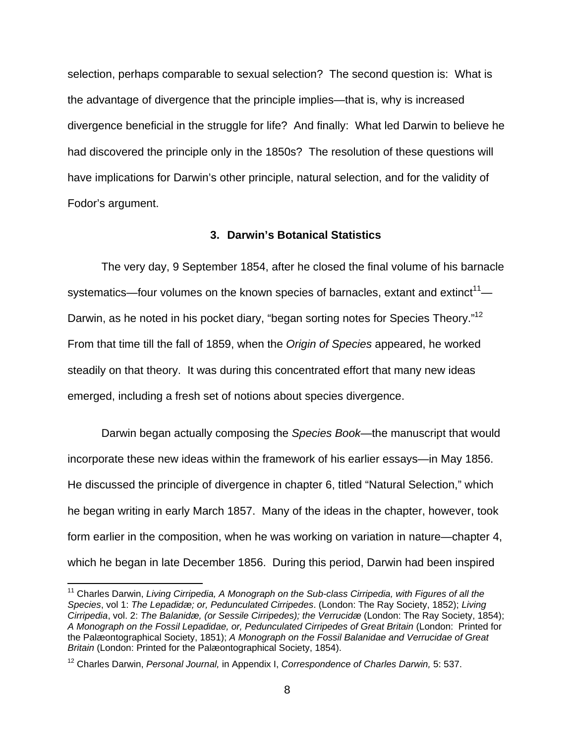selection, perhaps comparable to sexual selection? The second question is: What is the advantage of divergence that the principle implies—that is, why is increased divergence beneficial in the struggle for life? And finally: What led Darwin to believe he had discovered the principle only in the 1850s? The resolution of these questions will have implications for Darwin's other principle, natural selection, and for the validity of Fodor's argument.

#### **3. Darwin's Botanical Statistics**

 The very day, 9 September 1854, after he closed the final volume of his barnacle systematics—four volumes on the known species of barnacles, extant and extinct<sup>11</sup>— Darwin, as he noted in his pocket diary, "began sorting notes for Species Theory."<sup>12</sup> From that time till the fall of 1859, when the *Origin of Species* appeared, he worked steadily on that theory. It was during this concentrated effort that many new ideas emerged, including a fresh set of notions about species divergence.

 Darwin began actually composing the *Species Book*—the manuscript that would incorporate these new ideas within the framework of his earlier essays—in May 1856. He discussed the principle of divergence in chapter 6, titled "Natural Selection," which he began writing in early March 1857. Many of the ideas in the chapter, however, took form earlier in the composition, when he was working on variation in nature—chapter 4, which he began in late December 1856. During this period, Darwin had been inspired

<sup>&</sup>lt;sup>11</sup> Charles Darwin, *Living Cirripedia, A Monograph on the Sub-class Cirripedia, with Figures of all the Species*, vol 1: *The Lepadidæ; or, Pedunculated Cirripedes*. (London: The Ray Society, 1852); *Living Cirripedia*, vol. 2: *The Balanidæ, (or Sessile Cirripedes); the Verrucidæ* (London: The Ray Society, 1854); *A Monograph on the Fossil Lepadidae, or, Pedunculated Cirripedes of Great Britain* (London: Printed for the Palæontographical Society, 1851); *A Monograph on the Fossil Balanidae and Verrucidae of Great Britain* (London: Printed for the Palæontographical Society, 1854).

<sup>12</sup> Charles Darwin, *Personal Journal,* in Appendix I, *Correspondence of Charles Darwin,* 5: 537.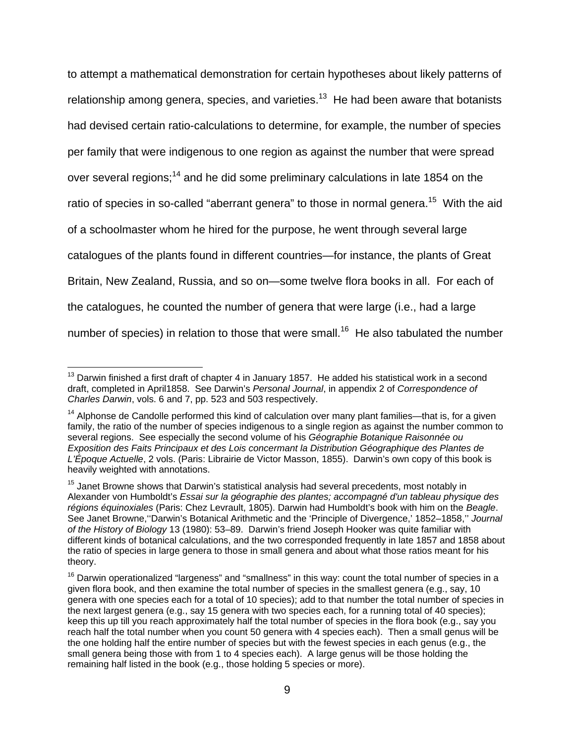to attempt a mathematical demonstration for certain hypotheses about likely patterns of relationship among genera, species, and varieties.<sup>13</sup> He had been aware that botanists had devised certain ratio-calculations to determine, for example, the number of species per family that were indigenous to one region as against the number that were spread over several regions;<sup>14</sup> and he did some preliminary calculations in late 1854 on the ratio of species in so-called "aberrant genera" to those in normal genera.<sup>15</sup> With the aid of a schoolmaster whom he hired for the purpose, he went through several large catalogues of the plants found in different countries—for instance, the plants of Great Britain, New Zealand, Russia, and so on—some twelve flora books in all. For each of the catalogues, he counted the number of genera that were large (i.e., had a large number of species) in relation to those that were small.<sup>16</sup> He also tabulated the number

 $13$  Darwin finished a first draft of chapter 4 in January 1857. He added his statistical work in a second draft, completed in April1858. See Darwin's *Personal Journal*, in appendix 2 of *Correspondence of Charles Darwin*, vols. 6 and 7, pp. 523 and 503 respectively.

 $14$  Alphonse de Candolle performed this kind of calculation over many plant families—that is, for a given family, the ratio of the number of species indigenous to a single region as against the number common to several regions. See especially the second volume of his *Géographie Botanique Raisonnée ou Exposition des Faits Principaux et des Lois concermant la Distribution Géographique des Plantes de L'Époque Actuelle*, 2 vols. (Paris: Librairie de Victor Masson, 1855). Darwin's own copy of this book is heavily weighted with annotations.

<sup>&</sup>lt;sup>15</sup> Janet Browne shows that Darwin's statistical analysis had several precedents, most notably in Alexander von Humboldt's *Essai sur la géographie des plantes; accompagné d'un tableau physique des régions équinoxiales* (Paris: Chez Levrault, 1805). Darwin had Humboldt's book with him on the *Beagle*. See Janet Browne,''Darwin's Botanical Arithmetic and the 'Principle of Divergence,' 1852–1858,'' *Journal of the History of Biology* 13 (1980): 53–89. Darwin's friend Joseph Hooker was quite familiar with different kinds of botanical calculations, and the two corresponded frequently in late 1857 and 1858 about the ratio of species in large genera to those in small genera and about what those ratios meant for his theory.

<sup>&</sup>lt;sup>16</sup> Darwin operationalized "largeness" and "smallness" in this way: count the total number of species in a given flora book, and then examine the total number of species in the smallest genera (e.g., say, 10 genera with one species each for a total of 10 species); add to that number the total number of species in the next largest genera (e.g., say 15 genera with two species each, for a running total of 40 species); keep this up till you reach approximately half the total number of species in the flora book (e.g., say you reach half the total number when you count 50 genera with 4 species each). Then a small genus will be the one holding half the entire number of species but with the fewest species in each genus (e.g., the small genera being those with from 1 to 4 species each). A large genus will be those holding the remaining half listed in the book (e.g., those holding 5 species or more).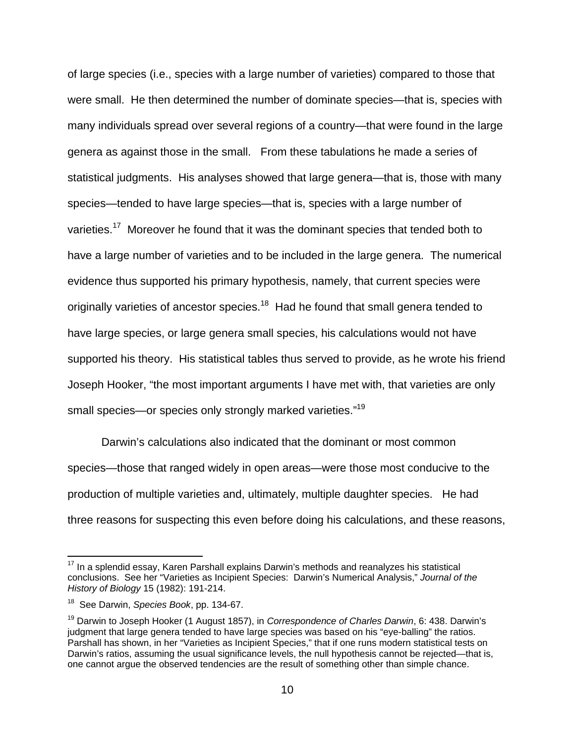of large species (i.e., species with a large number of varieties) compared to those that were small. He then determined the number of dominate species—that is, species with many individuals spread over several regions of a country—that were found in the large genera as against those in the small. From these tabulations he made a series of statistical judgments. His analyses showed that large genera—that is, those with many species—tended to have large species—that is, species with a large number of varieties.<sup>17</sup> Moreover he found that it was the dominant species that tended both to have a large number of varieties and to be included in the large genera. The numerical evidence thus supported his primary hypothesis, namely, that current species were originally varieties of ancestor species.<sup>18</sup> Had he found that small genera tended to have large species, or large genera small species, his calculations would not have supported his theory. His statistical tables thus served to provide, as he wrote his friend Joseph Hooker, "the most important arguments I have met with, that varieties are only small species—or species only strongly marked varieties."<sup>19</sup>

 Darwin's calculations also indicated that the dominant or most common species—those that ranged widely in open areas—were those most conducive to the production of multiple varieties and, ultimately, multiple daughter species. He had three reasons for suspecting this even before doing his calculations, and these reasons,

 $17$  In a splendid essay, Karen Parshall explains Darwin's methods and reanalyzes his statistical conclusions. See her "Varieties as Incipient Species: Darwin's Numerical Analysis," *Journal of the History of Biology* 15 (1982): 191-214.

<sup>18</sup> See Darwin, *Species Book*, pp. 134-67.

<sup>19</sup> Darwin to Joseph Hooker (1 August 1857), in *Correspondence of Charles Darwin*, 6: 438. Darwin's judgment that large genera tended to have large species was based on his "eye-balling" the ratios. Parshall has shown, in her "Varieties as Incipient Species," that if one runs modern statistical tests on Darwin's ratios, assuming the usual significance levels, the null hypothesis cannot be rejected—that is, one cannot argue the observed tendencies are the result of something other than simple chance.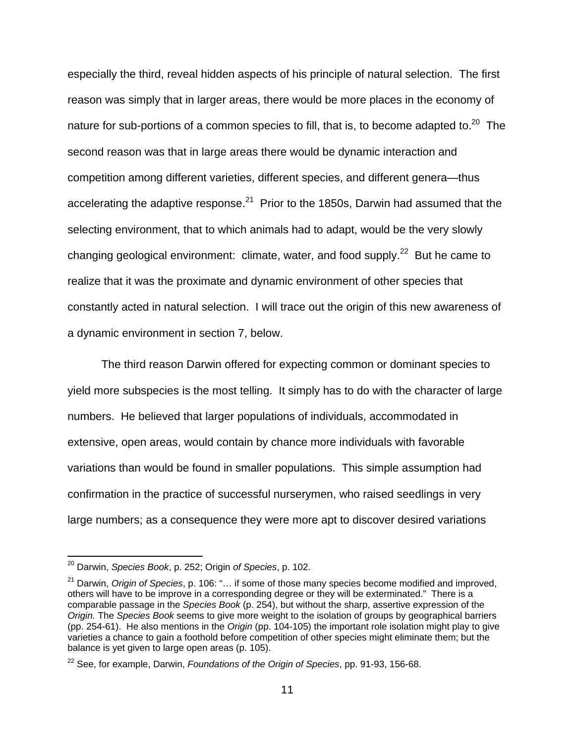especially the third, reveal hidden aspects of his principle of natural selection. The first reason was simply that in larger areas, there would be more places in the economy of nature for sub-portions of a common species to fill, that is, to become adapted to.<sup>20</sup> The second reason was that in large areas there would be dynamic interaction and competition among different varieties, different species, and different genera—thus accelerating the adaptive response. $^{21}$  Prior to the 1850s, Darwin had assumed that the selecting environment, that to which animals had to adapt, would be the very slowly changing geological environment: climate, water, and food supply.<sup>22</sup> But he came to realize that it was the proximate and dynamic environment of other species that constantly acted in natural selection. I will trace out the origin of this new awareness of a dynamic environment in section 7, below.

 The third reason Darwin offered for expecting common or dominant species to yield more subspecies is the most telling. It simply has to do with the character of large numbers. He believed that larger populations of individuals, accommodated in extensive, open areas, would contain by chance more individuals with favorable variations than would be found in smaller populations. This simple assumption had confirmation in the practice of successful nurserymen, who raised seedlings in very large numbers; as a consequence they were more apt to discover desired variations

<sup>20</sup> Darwin, *Species Book*, p. 252; Origin *of Species*, p. 102.

<sup>21</sup> Darwin, *Origin of Species*, p. 106: "… if some of those many species become modified and improved, others will have to be improve in a corresponding degree or they will be exterminated." There is a comparable passage in the *Species Book* (p. 254), but without the sharp, assertive expression of the *Origin.* The *Species Book* seems to give more weight to the isolation of groups by geographical barriers (pp. 254-61). He also mentions in the *Origin* (pp. 104-105) the important role isolation might play to give varieties a chance to gain a foothold before competition of other species might eliminate them; but the balance is yet given to large open areas (p. 105).

<sup>22</sup> See, for example, Darwin, *Foundations of the Origin of Species*, pp. 91-93, 156-68.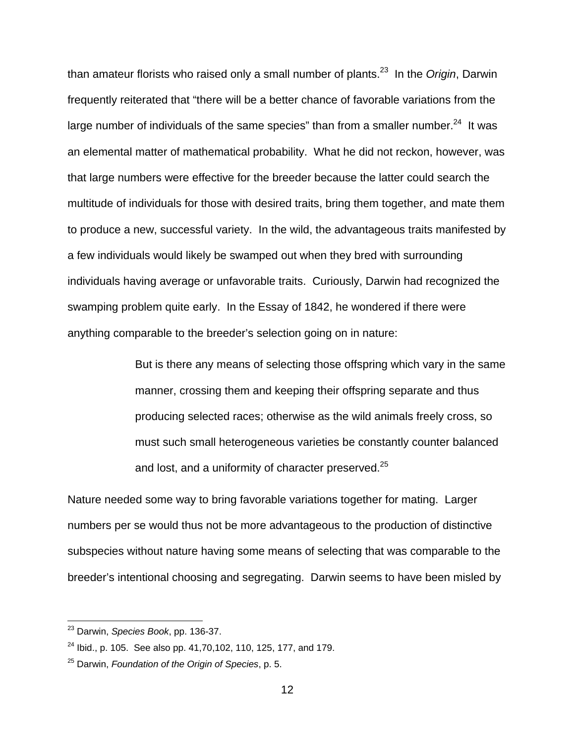than amateur florists who raised only a small number of plants.23 In the *Origin*, Darwin frequently reiterated that "there will be a better chance of favorable variations from the large number of individuals of the same species" than from a smaller number. $^{24}$  It was an elemental matter of mathematical probability. What he did not reckon, however, was that large numbers were effective for the breeder because the latter could search the multitude of individuals for those with desired traits, bring them together, and mate them to produce a new, successful variety. In the wild, the advantageous traits manifested by a few individuals would likely be swamped out when they bred with surrounding individuals having average or unfavorable traits. Curiously, Darwin had recognized the swamping problem quite early. In the Essay of 1842, he wondered if there were anything comparable to the breeder's selection going on in nature:

> But is there any means of selecting those offspring which vary in the same manner, crossing them and keeping their offspring separate and thus producing selected races; otherwise as the wild animals freely cross, so must such small heterogeneous varieties be constantly counter balanced and lost, and a uniformity of character preserved.<sup>25</sup>

Nature needed some way to bring favorable variations together for mating. Larger numbers per se would thus not be more advantageous to the production of distinctive subspecies without nature having some means of selecting that was comparable to the breeder's intentional choosing and segregating. Darwin seems to have been misled by

<sup>23</sup> Darwin, *Species Book*, pp. 136-37.

 $24$  Ibid., p. 105. See also pp. 41,70,102, 110, 125, 177, and 179.

<sup>25</sup> Darwin, *Foundation of the Origin of Species*, p. 5.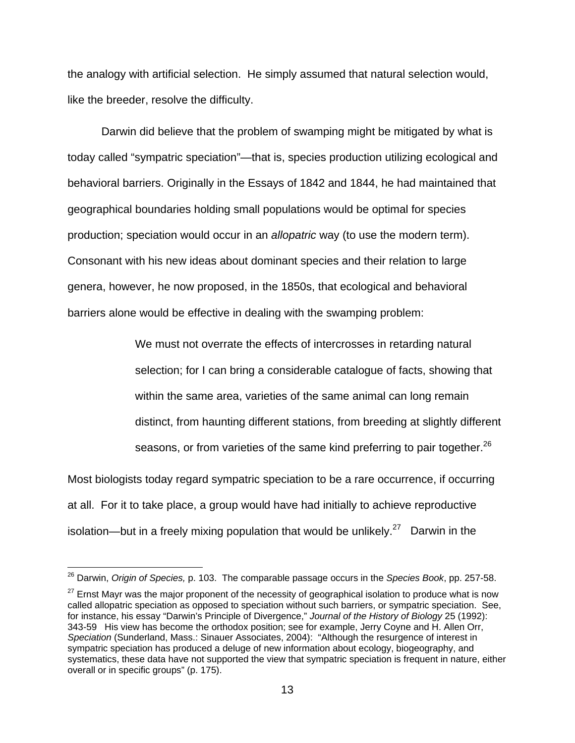the analogy with artificial selection. He simply assumed that natural selection would, like the breeder, resolve the difficulty.

 Darwin did believe that the problem of swamping might be mitigated by what is today called "sympatric speciation"—that is, species production utilizing ecological and behavioral barriers. Originally in the Essays of 1842 and 1844, he had maintained that geographical boundaries holding small populations would be optimal for species production; speciation would occur in an *allopatric* way (to use the modern term). Consonant with his new ideas about dominant species and their relation to large genera, however, he now proposed, in the 1850s, that ecological and behavioral barriers alone would be effective in dealing with the swamping problem:

> We must not overrate the effects of intercrosses in retarding natural selection; for I can bring a considerable catalogue of facts, showing that within the same area, varieties of the same animal can long remain distinct, from haunting different stations, from breeding at slightly different seasons, or from varieties of the same kind preferring to pair together.<sup>26</sup>

Most biologists today regard sympatric speciation to be a rare occurrence, if occurring at all. For it to take place, a group would have had initially to achieve reproductive isolation—but in a freely mixing population that would be unlikely.<sup>27</sup> Darwin in the

<sup>26</sup> Darwin, *Origin of Species,* p. 103. The comparable passage occurs in the *Species Book*, pp. 257-58.

 $27$  Ernst Mayr was the major proponent of the necessity of geographical isolation to produce what is now called allopatric speciation as opposed to speciation without such barriers, or sympatric speciation. See, for instance, his essay "Darwin's Principle of Divergence," *Journal of the History of Biology* 25 (1992): 343-59 His view has become the orthodox position; see for example, Jerry Coyne and H. Allen Orr, *Speciation* (Sunderland, Mass.: Sinauer Associates, 2004): "Although the resurgence of interest in sympatric speciation has produced a deluge of new information about ecology, biogeography, and systematics, these data have not supported the view that sympatric speciation is frequent in nature, either overall or in specific groups" (p. 175).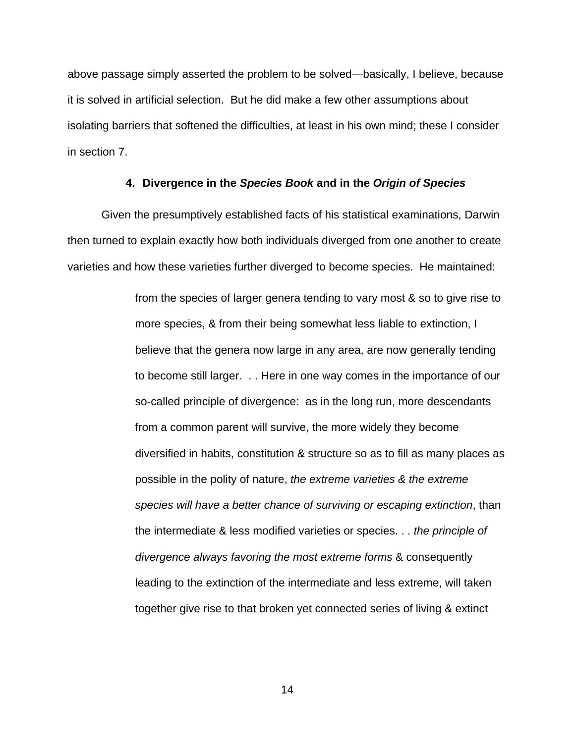above passage simply asserted the problem to be solved—basically, I believe, because it is solved in artificial selection. But he did make a few other assumptions about isolating barriers that softened the difficulties, at least in his own mind; these I consider in section 7.

#### **4. Divergence in the** *Species Book* **and in the** *Origin of Species*

 Given the presumptively established facts of his statistical examinations, Darwin then turned to explain exactly how both individuals diverged from one another to create varieties and how these varieties further diverged to become species. He maintained:

> from the species of larger genera tending to vary most & so to give rise to more species, & from their being somewhat less liable to extinction, I believe that the genera now large in any area, are now generally tending to become still larger. . . Here in one way comes in the importance of our so-called principle of divergence: as in the long run, more descendants from a common parent will survive, the more widely they become diversified in habits, constitution & structure so as to fill as many places as possible in the polity of nature, *the extreme varieties & the extreme species will have a better chance of surviving or escaping extinction*, than the intermediate & less modified varieties or species. . . *the principle of divergence always favoring the most extreme forms* & consequently leading to the extinction of the intermediate and less extreme, will taken together give rise to that broken yet connected series of living & extinct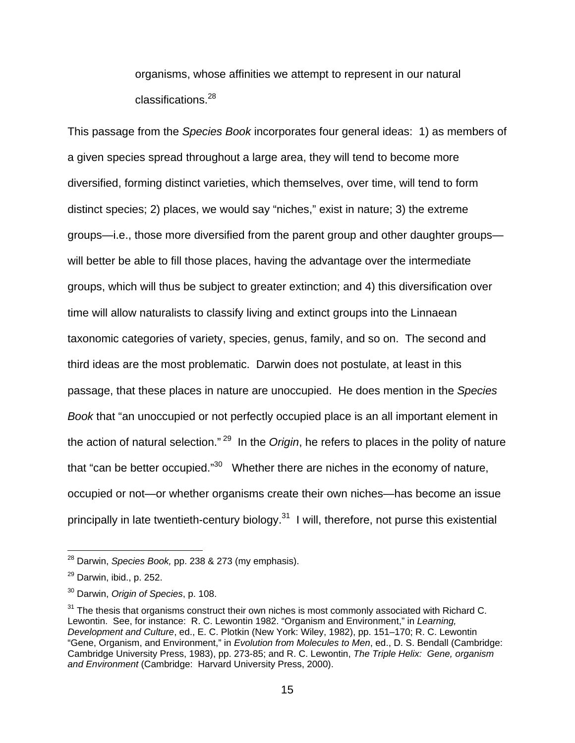organisms, whose affinities we attempt to represent in our natural classifications.<sup>28</sup>

This passage from the *Species Book* incorporates four general ideas: 1) as members of a given species spread throughout a large area, they will tend to become more diversified, forming distinct varieties, which themselves, over time, will tend to form distinct species; 2) places, we would say "niches," exist in nature; 3) the extreme groups—i.e., those more diversified from the parent group and other daughter groups will better be able to fill those places, having the advantage over the intermediate groups, which will thus be subject to greater extinction; and 4) this diversification over time will allow naturalists to classify living and extinct groups into the Linnaean taxonomic categories of variety, species, genus, family, and so on. The second and third ideas are the most problematic. Darwin does not postulate, at least in this passage, that these places in nature are unoccupied. He does mention in the *Species Book* that "an unoccupied or not perfectly occupied place is an all important element in the action of natural selection." 29 In the *Origin*, he refers to places in the polity of nature that "can be better occupied."<sup>30</sup> Whether there are niches in the economy of nature, occupied or not—or whether organisms create their own niches—has become an issue principally in late twentieth-century biology.<sup>31</sup> I will, therefore, not purse this existential

<sup>28</sup> Darwin, *Species Book,* pp. 238 & 273 (my emphasis).

 $29$  Darwin, ibid., p. 252.

<sup>30</sup> Darwin, *Origin of Species*, p. 108.

 $31$  The thesis that organisms construct their own niches is most commonly associated with Richard C. Lewontin. See, for instance: R. C. Lewontin 1982. "Organism and Environment," in *Learning, Development and Culture*, ed., E. C. Plotkin (New York: Wiley, 1982), pp. 151–170; R. C. Lewontin "Gene, Organism, and Environment," in *Evolution from Molecules to Men*, ed., D. S. Bendall (Cambridge: Cambridge University Press, 1983), pp. 273-85; and R. C. Lewontin, *The Triple Helix: Gene, organism and Environment* (Cambridge: Harvard University Press, 2000).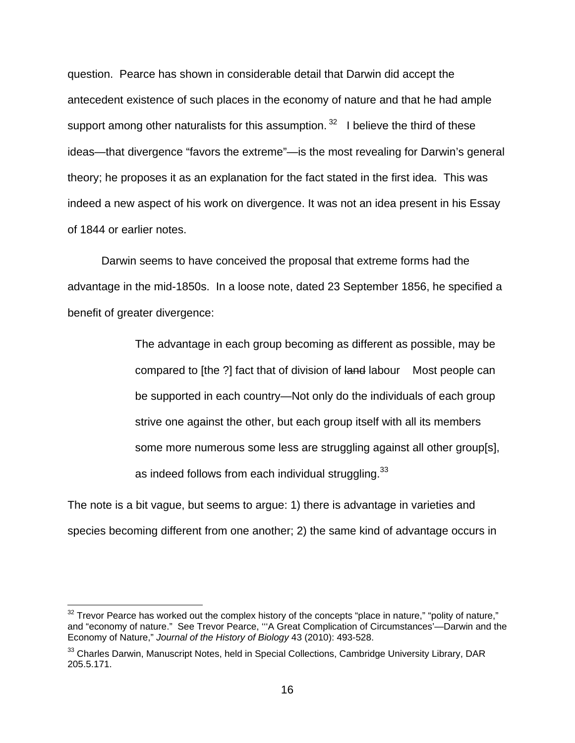question. Pearce has shown in considerable detail that Darwin did accept the antecedent existence of such places in the economy of nature and that he had ample support among other naturalists for this assumption.  $32$  I believe the third of these ideas—that divergence "favors the extreme"—is the most revealing for Darwin's general theory; he proposes it as an explanation for the fact stated in the first idea. This was indeed a new aspect of his work on divergence. It was not an idea present in his Essay of 1844 or earlier notes.

 Darwin seems to have conceived the proposal that extreme forms had the advantage in the mid-1850s. In a loose note, dated 23 September 1856, he specified a benefit of greater divergence:

> The advantage in each group becoming as different as possible, may be compared to [the ?] fact that of division of land labour Most people can be supported in each country—Not only do the individuals of each group strive one against the other, but each group itself with all its members some more numerous some less are struggling against all other group[s], as indeed follows from each individual struggling.<sup>33</sup>

The note is a bit vague, but seems to argue: 1) there is advantage in varieties and species becoming different from one another; 2) the same kind of advantage occurs in

 $32$  Trevor Pearce has worked out the complex history of the concepts "place in nature," "polity of nature," and "economy of nature." See Trevor Pearce, '''A Great Complication of Circumstances'—Darwin and the Economy of Nature," *Journal of the History of Biology* 43 (2010): 493-528.

 $33$  Charles Darwin, Manuscript Notes, held in Special Collections, Cambridge University Library, DAR 205.5.171.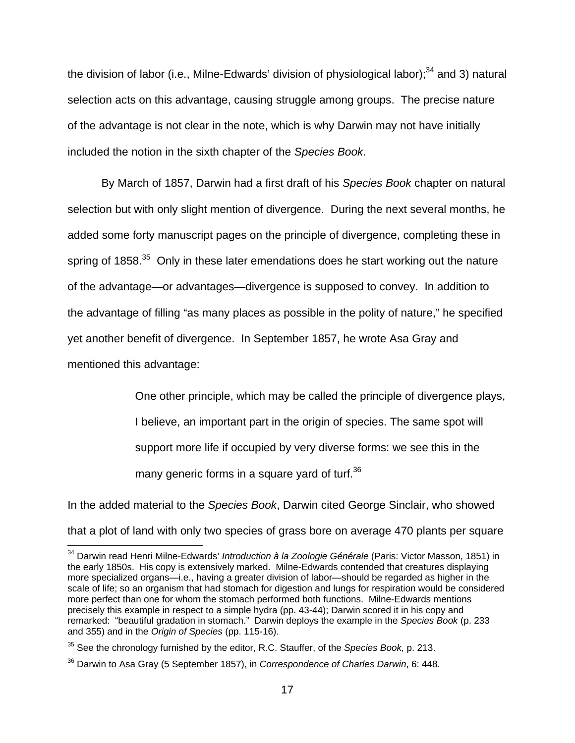the division of labor (i.e., Milne-Edwards' division of physiological labor): $34$  and 3) natural selection acts on this advantage, causing struggle among groups. The precise nature of the advantage is not clear in the note, which is why Darwin may not have initially included the notion in the sixth chapter of the *Species Book*.

 By March of 1857, Darwin had a first draft of his *Species Book* chapter on natural selection but with only slight mention of divergence. During the next several months, he added some forty manuscript pages on the principle of divergence, completing these in spring of  $1858.<sup>35</sup>$  Only in these later emendations does he start working out the nature of the advantage—or advantages—divergence is supposed to convey. In addition to the advantage of filling "as many places as possible in the polity of nature," he specified yet another benefit of divergence. In September 1857, he wrote Asa Gray and mentioned this advantage:

> One other principle, which may be called the principle of divergence plays, I believe, an important part in the origin of species. The same spot will support more life if occupied by very diverse forms: we see this in the many generic forms in a square yard of turf.<sup>36</sup>

In the added material to the *Species Book*, Darwin cited George Sinclair, who showed that a plot of land with only two species of grass bore on average 470 plants per square

<sup>&</sup>lt;sup>34</sup> Darwin read Henri Milne-Edwards' *Introduction à la Zoologie Générale* (Paris: Victor Masson, 1851) in the early 1850s. His copy is extensively marked. Milne-Edwards contended that creatures displaying more specialized organs—i.e., having a greater division of labor—should be regarded as higher in the scale of life; so an organism that had stomach for digestion and lungs for respiration would be considered more perfect than one for whom the stomach performed both functions. Milne-Edwards mentions precisely this example in respect to a simple hydra (pp. 43-44); Darwin scored it in his copy and remarked: "beautiful gradation in stomach." Darwin deploys the example in the *Species Book* (p. 233 and 355) and in the *Origin of Species* (pp. 115-16).

<sup>35</sup> See the chronology furnished by the editor, R.C. Stauffer, of the *Species Book,* p. 213.

<sup>36</sup> Darwin to Asa Gray (5 September 1857), in *Correspondence of Charles Darwin*, 6: 448.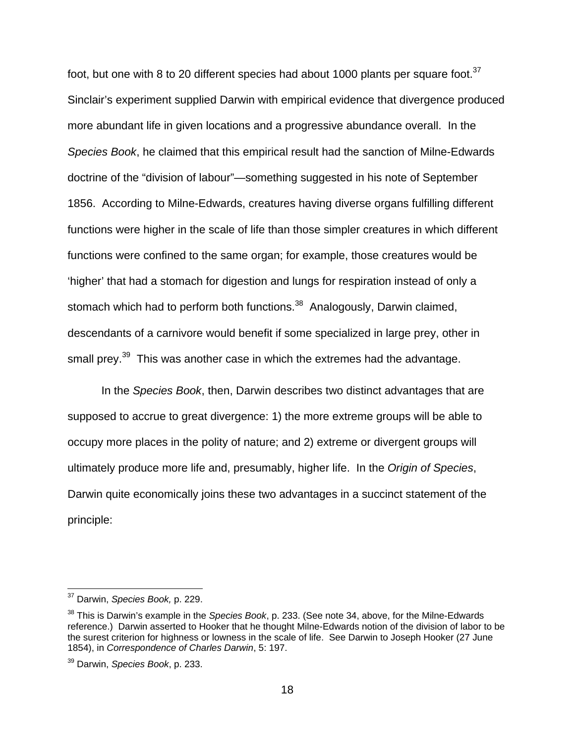foot, but one with 8 to 20 different species had about 1000 plants per square foot.<sup>37</sup> Sinclair's experiment supplied Darwin with empirical evidence that divergence produced more abundant life in given locations and a progressive abundance overall. In the *Species Book*, he claimed that this empirical result had the sanction of Milne-Edwards doctrine of the "division of labour"—something suggested in his note of September 1856. According to Milne-Edwards, creatures having diverse organs fulfilling different functions were higher in the scale of life than those simpler creatures in which different functions were confined to the same organ; for example, those creatures would be 'higher' that had a stomach for digestion and lungs for respiration instead of only a stomach which had to perform both functions.<sup>38</sup> Analogously, Darwin claimed, descendants of a carnivore would benefit if some specialized in large prey, other in small prey.<sup>39</sup> This was another case in which the extremes had the advantage.

 In the *Species Book*, then, Darwin describes two distinct advantages that are supposed to accrue to great divergence: 1) the more extreme groups will be able to occupy more places in the polity of nature; and 2) extreme or divergent groups will ultimately produce more life and, presumably, higher life. In the *Origin of Species*, Darwin quite economically joins these two advantages in a succinct statement of the principle:

<sup>37</sup> Darwin, *Species Book,* p. 229.

<sup>38</sup> This is Darwin's example in the *Species Book*, p. 233. (See note 34, above, for the Milne-Edwards reference.) Darwin asserted to Hooker that he thought Milne-Edwards notion of the division of labor to be the surest criterion for highness or lowness in the scale of life. See Darwin to Joseph Hooker (27 June 1854), in *Correspondence of Charles Darwin*, 5: 197.

<sup>39</sup> Darwin, *Species Book*, p. 233.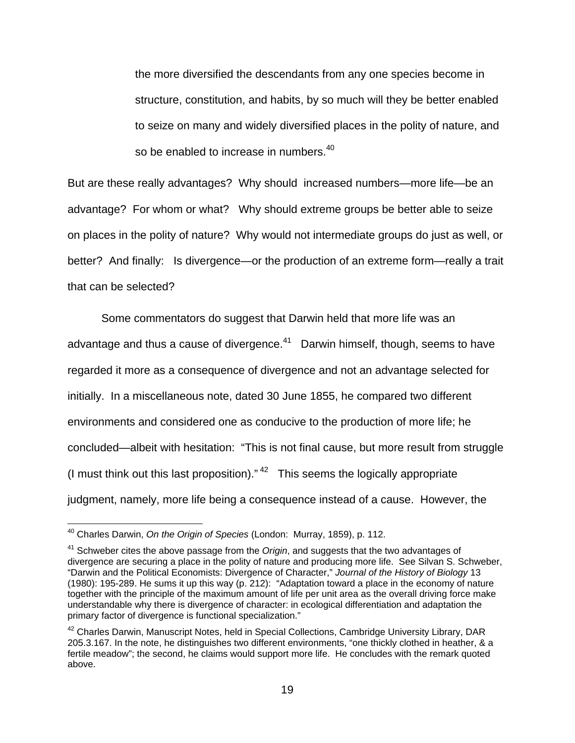the more diversified the descendants from any one species become in structure, constitution, and habits, by so much will they be better enabled to seize on many and widely diversified places in the polity of nature, and so be enabled to increase in numbers.<sup>40</sup>

But are these really advantages? Why should increased numbers—more life—be an advantage? For whom or what? Why should extreme groups be better able to seize on places in the polity of nature? Why would not intermediate groups do just as well, or better? And finally: Is divergence—or the production of an extreme form—really a trait that can be selected?

 Some commentators do suggest that Darwin held that more life was an advantage and thus a cause of divergence. $41$  Darwin himself, though, seems to have regarded it more as a consequence of divergence and not an advantage selected for initially. In a miscellaneous note, dated 30 June 1855, he compared two different environments and considered one as conducive to the production of more life; he concluded—albeit with hesitation: "This is not final cause, but more result from struggle (I must think out this last proposition)." $42$  This seems the logically appropriate judgment, namely, more life being a consequence instead of a cause. However, the

<sup>40</sup> Charles Darwin, *On the Origin of Species* (London: Murray, 1859), p. 112.

<sup>41</sup> Schweber cites the above passage from the *Origin*, and suggests that the two advantages of divergence are securing a place in the polity of nature and producing more life. See Silvan S. Schweber, "Darwin and the Political Economists: Divergence of Character," *Journal of the History of Biology* 13 (1980): 195-289. He sums it up this way (p. 212): "Adaptation toward a place in the economy of nature together with the principle of the maximum amount of life per unit area as the overall driving force make understandable why there is divergence of character: in ecological differentiation and adaptation the primary factor of divergence is functional specialization."

<sup>&</sup>lt;sup>42</sup> Charles Darwin, Manuscript Notes, held in Special Collections, Cambridge University Library, DAR 205.3.167. In the note, he distinguishes two different environments, "one thickly clothed in heather, & a fertile meadow"; the second, he claims would support more life. He concludes with the remark quoted above.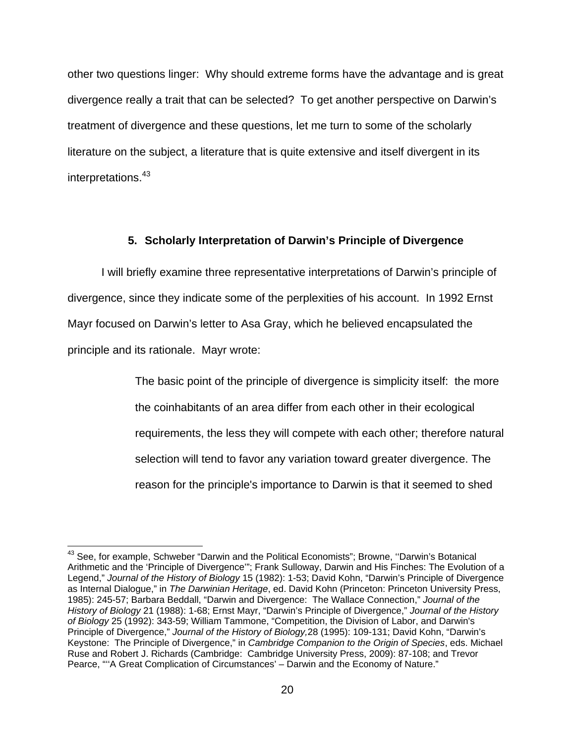other two questions linger: Why should extreme forms have the advantage and is great divergence really a trait that can be selected? To get another perspective on Darwin's treatment of divergence and these questions, let me turn to some of the scholarly literature on the subject, a literature that is quite extensive and itself divergent in its interpretations.<sup>43</sup>

#### **5. Scholarly Interpretation of Darwin's Principle of Divergence**

I will briefly examine three representative interpretations of Darwin's principle of divergence, since they indicate some of the perplexities of his account. In 1992 Ernst Mayr focused on Darwin's letter to Asa Gray, which he believed encapsulated the principle and its rationale. Mayr wrote:

> The basic point of the principle of divergence is simplicity itself: the more the coinhabitants of an area differ from each other in their ecological requirements, the less they will compete with each other; therefore natural selection will tend to favor any variation toward greater divergence. The reason for the principle's importance to Darwin is that it seemed to shed

<sup>&</sup>lt;sup>43</sup> See, for example, Schweber "Darwin and the Political Economists"; Browne, "Darwin's Botanical Arithmetic and the 'Principle of Divergence'"; Frank Sulloway, Darwin and His Finches: The Evolution of a Legend," *Journal of the History of Biology* 15 (1982): 1-53; David Kohn, "Darwin's Principle of Divergence as Internal Dialogue," in *The Darwinian Heritage*, ed. David Kohn (Princeton: Princeton University Press, 1985): 245-57; Barbara Beddall, "Darwin and Divergence: The Wallace Connection," *Journal of the History of Biology* 21 (1988): 1-68; Ernst Mayr, "Darwin's Principle of Divergence," *Journal of the History of Biology* 25 (1992): 343-59; William Tammone, "Competition, the Division of Labor, and Darwin's Principle of Divergence," *Journal of the History of Biology,*28 (1995): 109-131; David Kohn, "Darwin's Keystone: The Principle of Divergence," in *Cambridge Companion to the Origin of Species*, eds. Michael Ruse and Robert J. Richards (Cambridge: Cambridge University Press, 2009): 87-108; and Trevor Pearce, ""A Great Complication of Circumstances' – Darwin and the Economy of Nature."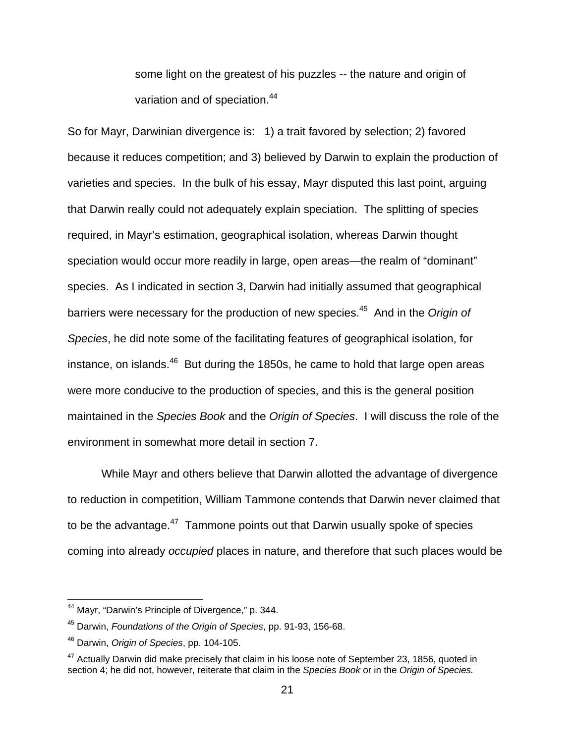some light on the greatest of his puzzles -- the nature and origin of variation and of speciation.<sup>44</sup>

So for Mayr, Darwinian divergence is: 1) a trait favored by selection; 2) favored because it reduces competition; and 3) believed by Darwin to explain the production of varieties and species. In the bulk of his essay, Mayr disputed this last point, arguing that Darwin really could not adequately explain speciation. The splitting of species required, in Mayr's estimation, geographical isolation, whereas Darwin thought speciation would occur more readily in large, open areas—the realm of "dominant" species. As I indicated in section 3, Darwin had initially assumed that geographical barriers were necessary for the production of new species.45 And in the *Origin of Species*, he did note some of the facilitating features of geographical isolation, for instance, on islands. $46$  But during the 1850s, he came to hold that large open areas were more conducive to the production of species, and this is the general position maintained in the *Species Book* and the *Origin of Species*. I will discuss the role of the environment in somewhat more detail in section 7.

 While Mayr and others believe that Darwin allotted the advantage of divergence to reduction in competition, William Tammone contends that Darwin never claimed that to be the advantage. $47$  Tammone points out that Darwin usually spoke of species coming into already *occupied* places in nature, and therefore that such places would be

<sup>&</sup>lt;sup>44</sup> Mayr, "Darwin's Principle of Divergence," p. 344.

<sup>45</sup> Darwin, *Foundations of the Origin of Species*, pp. 91-93, 156-68.

<sup>46</sup> Darwin, *Origin of Species*, pp. 104-105.

<sup>&</sup>lt;sup>47</sup> Actually Darwin did make precisely that claim in his loose note of September 23, 1856, quoted in section 4; he did not, however, reiterate that claim in the *Species Book* or in the *Origin of Species.*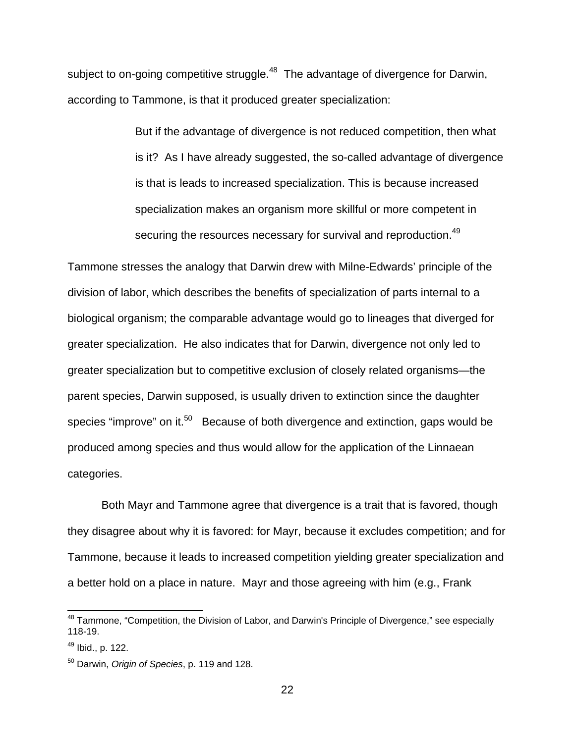subject to on-going competitive struggle.<sup>48</sup> The advantage of divergence for Darwin, according to Tammone, is that it produced greater specialization:

> But if the advantage of divergence is not reduced competition, then what is it? As I have already suggested, the so-called advantage of divergence is that is leads to increased specialization. This is because increased specialization makes an organism more skillful or more competent in securing the resources necessary for survival and reproduction.<sup>49</sup>

Tammone stresses the analogy that Darwin drew with Milne-Edwards' principle of the division of labor, which describes the benefits of specialization of parts internal to a biological organism; the comparable advantage would go to lineages that diverged for greater specialization. He also indicates that for Darwin, divergence not only led to greater specialization but to competitive exclusion of closely related organisms—the parent species, Darwin supposed, is usually driven to extinction since the daughter species "improve" on it.<sup>50</sup> Because of both divergence and extinction, gaps would be produced among species and thus would allow for the application of the Linnaean categories.

 Both Mayr and Tammone agree that divergence is a trait that is favored, though they disagree about why it is favored: for Mayr, because it excludes competition; and for Tammone, because it leads to increased competition yielding greater specialization and a better hold on a place in nature. Mayr and those agreeing with him (e.g., Frank

<sup>&</sup>lt;sup>48</sup> Tammone, "Competition, the Division of Labor, and Darwin's Principle of Divergence," see especially 118-19.

 $49$  Ibid., p. 122.

<sup>50</sup> Darwin, *Origin of Species*, p. 119 and 128.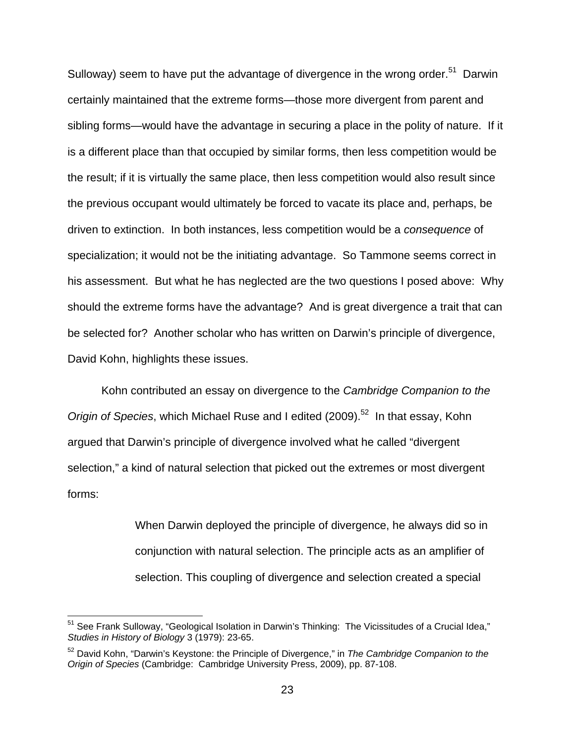Sulloway) seem to have put the advantage of divergence in the wrong order.<sup>51</sup> Darwin certainly maintained that the extreme forms—those more divergent from parent and sibling forms—would have the advantage in securing a place in the polity of nature. If it is a different place than that occupied by similar forms, then less competition would be the result; if it is virtually the same place, then less competition would also result since the previous occupant would ultimately be forced to vacate its place and, perhaps, be driven to extinction. In both instances, less competition would be a *consequence* of specialization; it would not be the initiating advantage. So Tammone seems correct in his assessment. But what he has neglected are the two questions I posed above: Why should the extreme forms have the advantage? And is great divergence a trait that can be selected for? Another scholar who has written on Darwin's principle of divergence, David Kohn, highlights these issues.

 Kohn contributed an essay on divergence to the *Cambridge Companion to the Origin of Species*, which Michael Ruse and I edited (2009).<sup>52</sup> In that essay, Kohn argued that Darwin's principle of divergence involved what he called "divergent selection," a kind of natural selection that picked out the extremes or most divergent forms:

> When Darwin deployed the principle of divergence, he always did so in conjunction with natural selection. The principle acts as an amplifier of selection. This coupling of divergence and selection created a special

<sup>&</sup>lt;sup>51</sup> See Frank Sulloway, "Geological Isolation in Darwin's Thinking: The Vicissitudes of a Crucial Idea," *Studies in History of Biology* 3 (1979): 23-65.

<sup>52</sup> David Kohn, "Darwin's Keystone: the Principle of Divergence," in *The Cambridge Companion to the Origin of Species* (Cambridge: Cambridge University Press, 2009), pp. 87-108.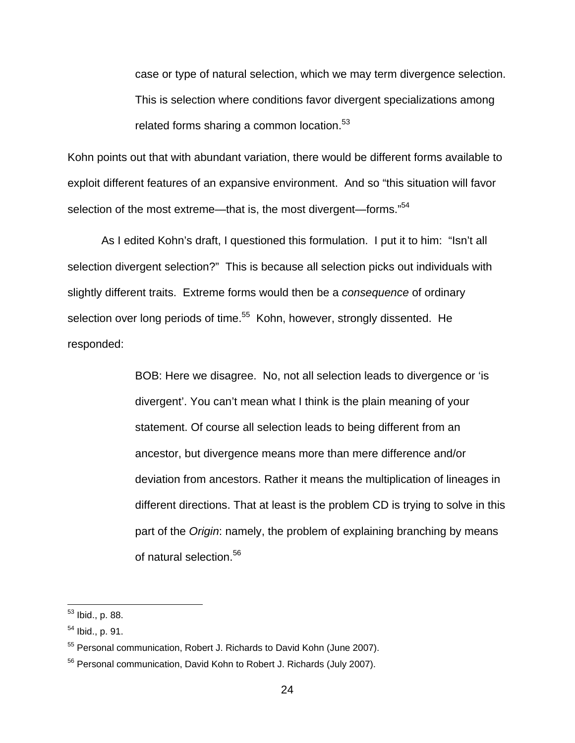case or type of natural selection, which we may term divergence selection. This is selection where conditions favor divergent specializations among related forms sharing a common location.<sup>53</sup>

Kohn points out that with abundant variation, there would be different forms available to exploit different features of an expansive environment. And so "this situation will favor selection of the most extreme—that is, the most divergent—forms."<sup>54</sup>

 As I edited Kohn's draft, I questioned this formulation. I put it to him: "Isn't all selection divergent selection?" This is because all selection picks out individuals with slightly different traits. Extreme forms would then be a *consequence* of ordinary selection over long periods of time.<sup>55</sup> Kohn, however, strongly dissented. He responded:

> BOB: Here we disagree. No, not all selection leads to divergence or 'is divergent'. You can't mean what I think is the plain meaning of your statement. Of course all selection leads to being different from an ancestor, but divergence means more than mere difference and/or deviation from ancestors. Rather it means the multiplication of lineages in different directions. That at least is the problem CD is trying to solve in this part of the *Origin*: namely, the problem of explaining branching by means of natural selection.<sup>56</sup>

<sup>&</sup>lt;sup>53</sup> Ibid., p. 88.

 $54$  Ibid., p. 91.

<sup>&</sup>lt;sup>55</sup> Personal communication, Robert J. Richards to David Kohn (June 2007).

<sup>56</sup> Personal communication, David Kohn to Robert J. Richards (July 2007).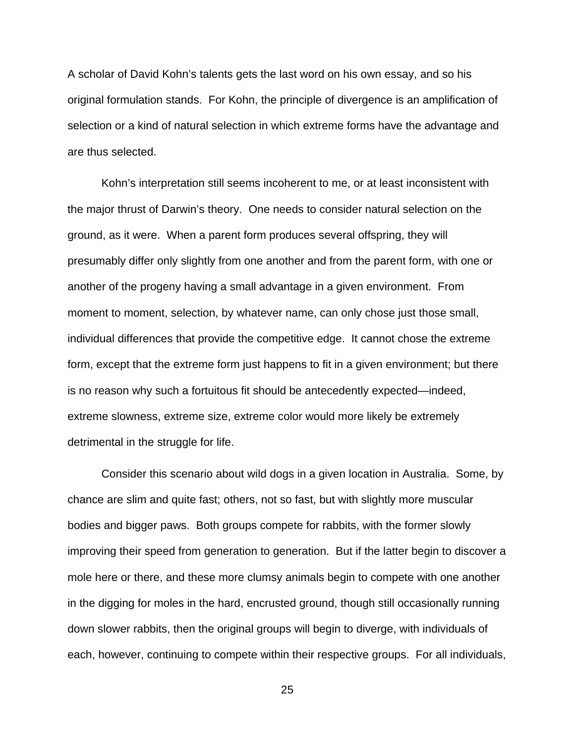A scholar of David Kohn's talents gets the last word on his own essay, and so his original formulation stands. For Kohn, the principle of divergence is an amplification of selection or a kind of natural selection in which extreme forms have the advantage and are thus selected.

 Kohn's interpretation still seems incoherent to me, or at least inconsistent with the major thrust of Darwin's theory. One needs to consider natural selection on the ground, as it were. When a parent form produces several offspring, they will presumably differ only slightly from one another and from the parent form, with one or another of the progeny having a small advantage in a given environment. From moment to moment, selection, by whatever name, can only chose just those small, individual differences that provide the competitive edge. It cannot chose the extreme form, except that the extreme form just happens to fit in a given environment; but there is no reason why such a fortuitous fit should be antecedently expected—indeed, extreme slowness, extreme size, extreme color would more likely be extremely detrimental in the struggle for life.

 Consider this scenario about wild dogs in a given location in Australia. Some, by chance are slim and quite fast; others, not so fast, but with slightly more muscular bodies and bigger paws. Both groups compete for rabbits, with the former slowly improving their speed from generation to generation. But if the latter begin to discover a mole here or there, and these more clumsy animals begin to compete with one another in the digging for moles in the hard, encrusted ground, though still occasionally running down slower rabbits, then the original groups will begin to diverge, with individuals of each, however, continuing to compete within their respective groups. For all individuals,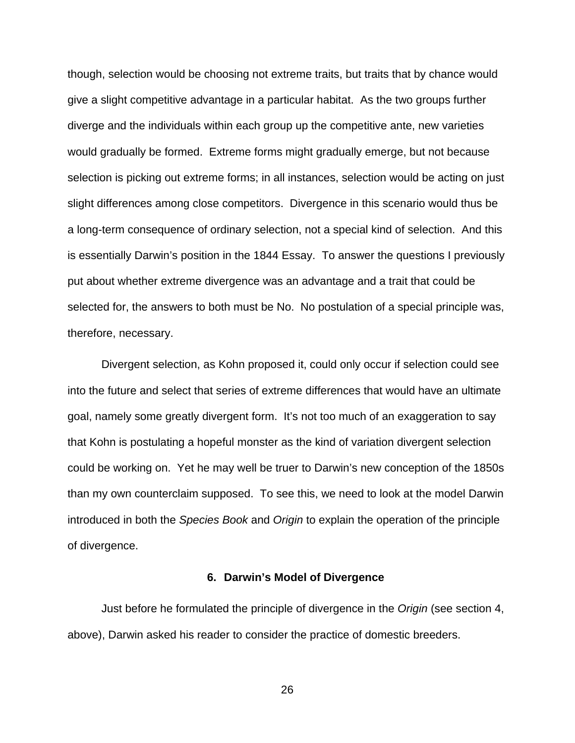though, selection would be choosing not extreme traits, but traits that by chance would give a slight competitive advantage in a particular habitat. As the two groups further diverge and the individuals within each group up the competitive ante, new varieties would gradually be formed. Extreme forms might gradually emerge, but not because selection is picking out extreme forms; in all instances, selection would be acting on just slight differences among close competitors. Divergence in this scenario would thus be a long-term consequence of ordinary selection, not a special kind of selection. And this is essentially Darwin's position in the 1844 Essay. To answer the questions I previously put about whether extreme divergence was an advantage and a trait that could be selected for, the answers to both must be No. No postulation of a special principle was, therefore, necessary.

 Divergent selection, as Kohn proposed it, could only occur if selection could see into the future and select that series of extreme differences that would have an ultimate goal, namely some greatly divergent form. It's not too much of an exaggeration to say that Kohn is postulating a hopeful monster as the kind of variation divergent selection could be working on. Yet he may well be truer to Darwin's new conception of the 1850s than my own counterclaim supposed. To see this, we need to look at the model Darwin introduced in both the *Species Book* and *Origin* to explain the operation of the principle of divergence.

#### **6. Darwin's Model of Divergence**

 Just before he formulated the principle of divergence in the *Origin* (see section 4, above), Darwin asked his reader to consider the practice of domestic breeders.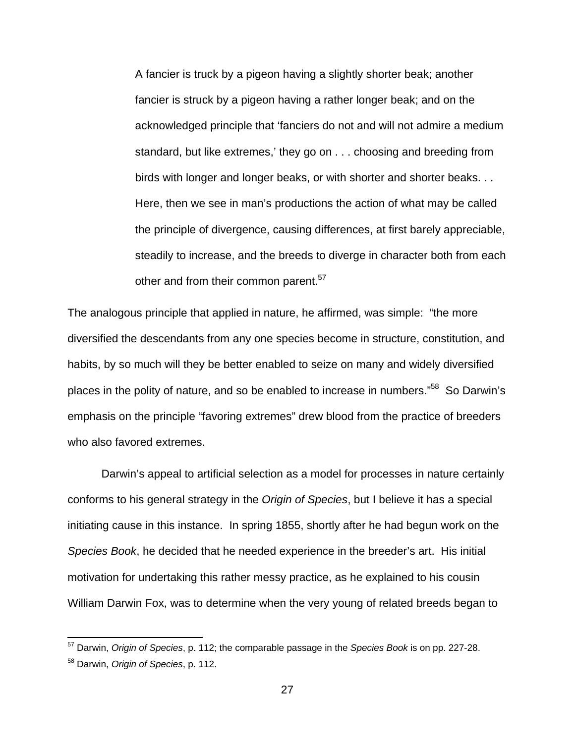A fancier is truck by a pigeon having a slightly shorter beak; another fancier is struck by a pigeon having a rather longer beak; and on the acknowledged principle that 'fanciers do not and will not admire a medium standard, but like extremes,' they go on . . . choosing and breeding from birds with longer and longer beaks, or with shorter and shorter beaks. . . Here, then we see in man's productions the action of what may be called the principle of divergence, causing differences, at first barely appreciable, steadily to increase, and the breeds to diverge in character both from each other and from their common parent.<sup>57</sup>

The analogous principle that applied in nature, he affirmed, was simple: "the more diversified the descendants from any one species become in structure, constitution, and habits, by so much will they be better enabled to seize on many and widely diversified places in the polity of nature, and so be enabled to increase in numbers."<sup>58</sup> So Darwin's emphasis on the principle "favoring extremes" drew blood from the practice of breeders who also favored extremes.

 Darwin's appeal to artificial selection as a model for processes in nature certainly conforms to his general strategy in the *Origin of Species*, but I believe it has a special initiating cause in this instance. In spring 1855, shortly after he had begun work on the *Species Book*, he decided that he needed experience in the breeder's art. His initial motivation for undertaking this rather messy practice, as he explained to his cousin William Darwin Fox, was to determine when the very young of related breeds began to

<sup>57</sup> Darwin, *Origin of Species*, p. 112; the comparable passage in the *Species Book* is on pp. 227-28.

<sup>58</sup> Darwin, *Origin of Species*, p. 112.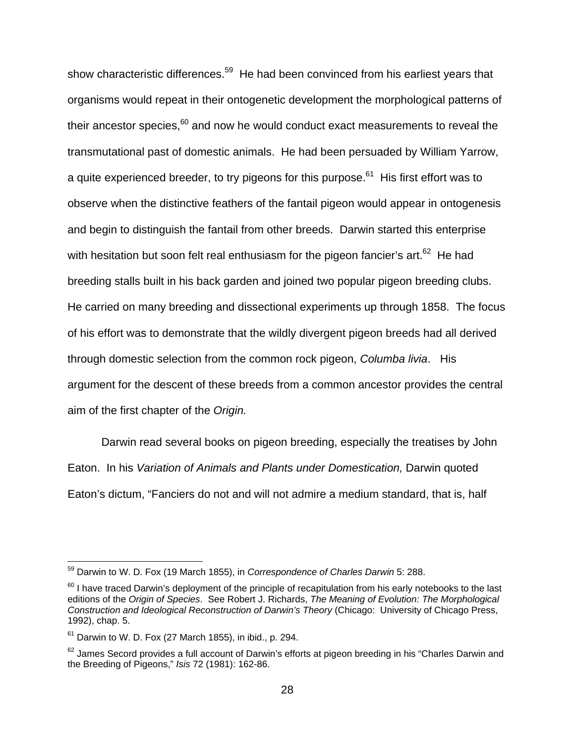show characteristic differences.<sup>59</sup> He had been convinced from his earliest years that organisms would repeat in their ontogenetic development the morphological patterns of their ancestor species,  $60$  and now he would conduct exact measurements to reveal the transmutational past of domestic animals. He had been persuaded by William Yarrow, a quite experienced breeder, to try pigeons for this purpose.<sup>61</sup> His first effort was to observe when the distinctive feathers of the fantail pigeon would appear in ontogenesis and begin to distinguish the fantail from other breeds. Darwin started this enterprise with hesitation but soon felt real enthusiasm for the pigeon fancier's art. $62$  He had breeding stalls built in his back garden and joined two popular pigeon breeding clubs. He carried on many breeding and dissectional experiments up through 1858. The focus of his effort was to demonstrate that the wildly divergent pigeon breeds had all derived through domestic selection from the common rock pigeon, *Columba livia*. His argument for the descent of these breeds from a common ancestor provides the central aim of the first chapter of the *Origin.* 

 Darwin read several books on pigeon breeding, especially the treatises by John Eaton. In his *Variation of Animals and Plants under Domestication,* Darwin quoted Eaton's dictum, "Fanciers do not and will not admire a medium standard, that is, half

<sup>59</sup> Darwin to W. D. Fox (19 March 1855), in *Correspondence of Charles Darwin* 5: 288.

 $60$  I have traced Darwin's deployment of the principle of recapitulation from his early notebooks to the last editions of the *Origin of Species*. See Robert J. Richards, *The Meaning of Evolution: The Morphological Construction and Ideological Reconstruction of Darwin's Theory* (Chicago: University of Chicago Press, 1992), chap. 5.

 $61$  Darwin to W. D. Fox (27 March 1855), in ibid., p. 294.

<sup>&</sup>lt;sup>62</sup> James Secord provides a full account of Darwin's efforts at pigeon breeding in his "Charles Darwin and the Breeding of Pigeons," *Isis* 72 (1981): 162-86.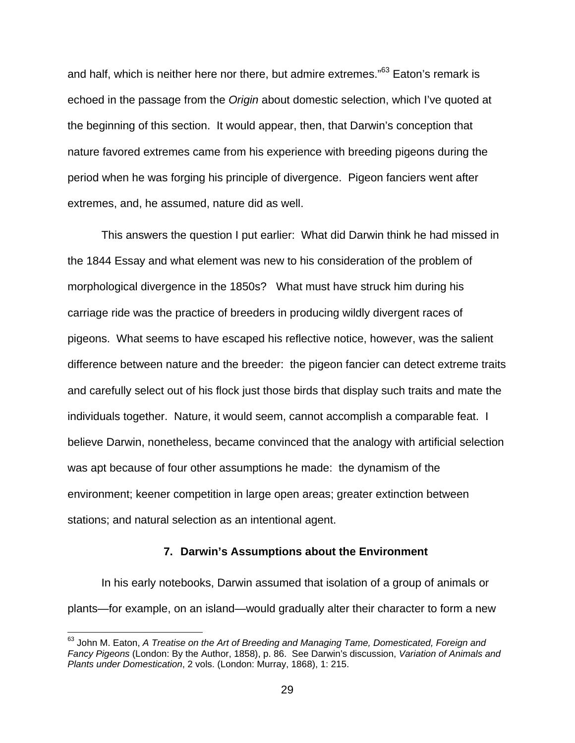and half, which is neither here nor there, but admire extremes."<sup>63</sup> Eaton's remark is echoed in the passage from the *Origin* about domestic selection, which I've quoted at the beginning of this section. It would appear, then, that Darwin's conception that nature favored extremes came from his experience with breeding pigeons during the period when he was forging his principle of divergence. Pigeon fanciers went after extremes, and, he assumed, nature did as well.

 This answers the question I put earlier: What did Darwin think he had missed in the 1844 Essay and what element was new to his consideration of the problem of morphological divergence in the 1850s? What must have struck him during his carriage ride was the practice of breeders in producing wildly divergent races of pigeons. What seems to have escaped his reflective notice, however, was the salient difference between nature and the breeder: the pigeon fancier can detect extreme traits and carefully select out of his flock just those birds that display such traits and mate the individuals together. Nature, it would seem, cannot accomplish a comparable feat. I believe Darwin, nonetheless, became convinced that the analogy with artificial selection was apt because of four other assumptions he made: the dynamism of the environment; keener competition in large open areas; greater extinction between stations; and natural selection as an intentional agent.

#### **7. Darwin's Assumptions about the Environment**

 In his early notebooks, Darwin assumed that isolation of a group of animals or plants—for example, on an island—would gradually alter their character to form a new

<sup>63</sup> John M. Eaton, *A Treatise on the Art of Breeding and Managing Tame, Domesticated, Foreign and Fancy Pigeons* (London: By the Author, 1858), p. 86. See Darwin's discussion, *Variation of Animals and Plants under Domestication*, 2 vols. (London: Murray, 1868), 1: 215.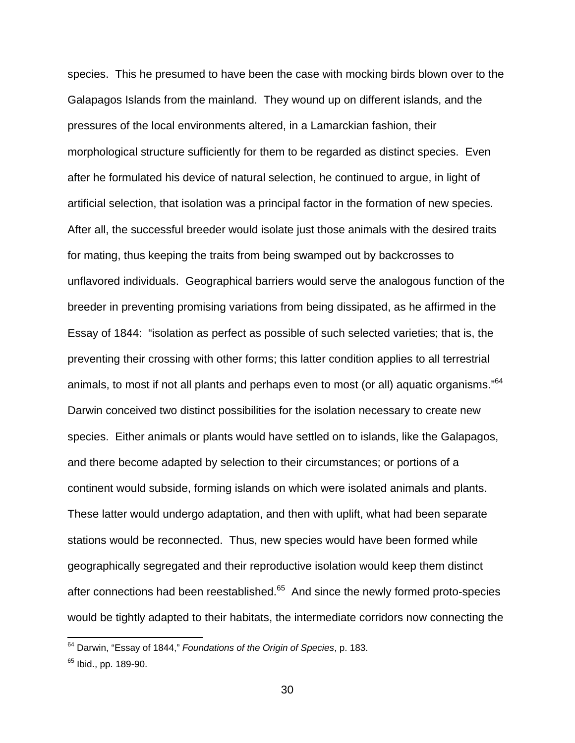species. This he presumed to have been the case with mocking birds blown over to the Galapagos Islands from the mainland. They wound up on different islands, and the pressures of the local environments altered, in a Lamarckian fashion, their morphological structure sufficiently for them to be regarded as distinct species. Even after he formulated his device of natural selection, he continued to argue, in light of artificial selection, that isolation was a principal factor in the formation of new species. After all, the successful breeder would isolate just those animals with the desired traits for mating, thus keeping the traits from being swamped out by backcrosses to unflavored individuals. Geographical barriers would serve the analogous function of the breeder in preventing promising variations from being dissipated, as he affirmed in the Essay of 1844: "isolation as perfect as possible of such selected varieties; that is, the preventing their crossing with other forms; this latter condition applies to all terrestrial animals, to most if not all plants and perhaps even to most (or all) aquatic organisms."64 Darwin conceived two distinct possibilities for the isolation necessary to create new species. Either animals or plants would have settled on to islands, like the Galapagos, and there become adapted by selection to their circumstances; or portions of a continent would subside, forming islands on which were isolated animals and plants. These latter would undergo adaptation, and then with uplift, what had been separate stations would be reconnected. Thus, new species would have been formed while geographically segregated and their reproductive isolation would keep them distinct after connections had been reestablished. $65$  And since the newly formed proto-species would be tightly adapted to their habitats, the intermediate corridors now connecting the

<sup>64</sup> Darwin, "Essay of 1844," *Foundations of the Origin of Species*, p. 183.

<sup>&</sup>lt;sup>65</sup> Ibid., pp. 189-90.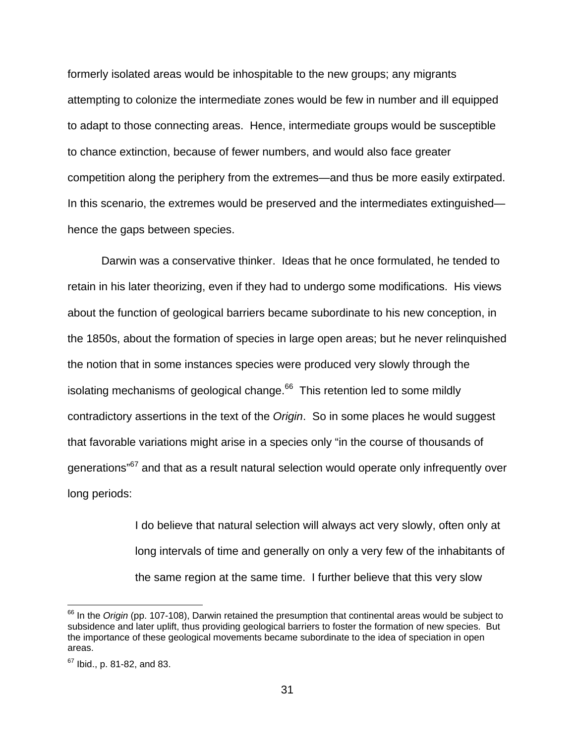formerly isolated areas would be inhospitable to the new groups; any migrants attempting to colonize the intermediate zones would be few in number and ill equipped to adapt to those connecting areas. Hence, intermediate groups would be susceptible to chance extinction, because of fewer numbers, and would also face greater competition along the periphery from the extremes—and thus be more easily extirpated. In this scenario, the extremes would be preserved and the intermediates extinguished hence the gaps between species.

 Darwin was a conservative thinker. Ideas that he once formulated, he tended to retain in his later theorizing, even if they had to undergo some modifications. His views about the function of geological barriers became subordinate to his new conception, in the 1850s, about the formation of species in large open areas; but he never relinquished the notion that in some instances species were produced very slowly through the isolating mechanisms of geological change. $66$  This retention led to some mildly contradictory assertions in the text of the *Origin*. So in some places he would suggest that favorable variations might arise in a species only "in the course of thousands of generations<sup>"67</sup> and that as a result natural selection would operate only infrequently over long periods:

> I do believe that natural selection will always act very slowly, often only at long intervals of time and generally on only a very few of the inhabitants of the same region at the same time. I further believe that this very slow

<sup>&</sup>lt;sup>66</sup> In the *Origin* (pp. 107-108), Darwin retained the presumption that continental areas would be subject to subsidence and later uplift, thus providing geological barriers to foster the formation of new species. But the importance of these geological movements became subordinate to the idea of speciation in open areas.

<sup>67</sup> Ibid., p. 81-82, and 83.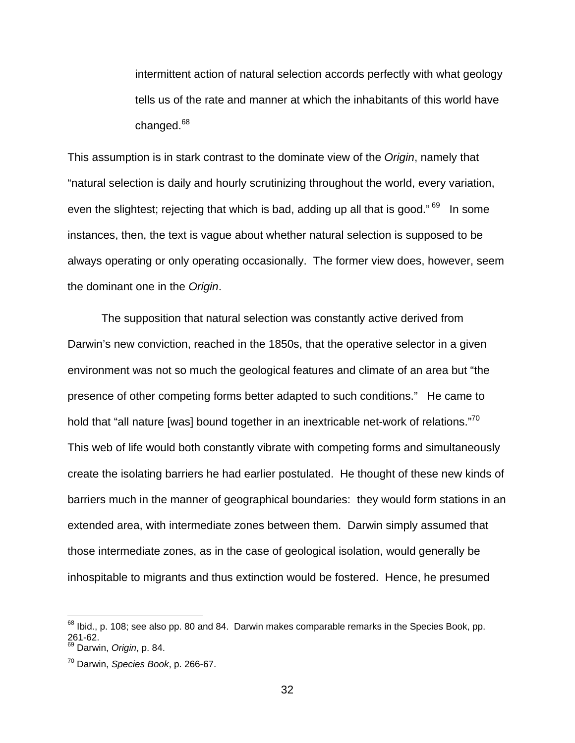intermittent action of natural selection accords perfectly with what geology tells us of the rate and manner at which the inhabitants of this world have changed.<sup>68</sup>

This assumption is in stark contrast to the dominate view of the *Origin*, namely that "natural selection is daily and hourly scrutinizing throughout the world, every variation, even the slightest; rejecting that which is bad, adding up all that is good."<sup>69</sup> In some instances, then, the text is vague about whether natural selection is supposed to be always operating or only operating occasionally. The former view does, however, seem the dominant one in the *Origin*.

 The supposition that natural selection was constantly active derived from Darwin's new conviction, reached in the 1850s, that the operative selector in a given environment was not so much the geological features and climate of an area but "the presence of other competing forms better adapted to such conditions." He came to hold that "all nature [was] bound together in an inextricable net-work of relations."<sup>70</sup> This web of life would both constantly vibrate with competing forms and simultaneously create the isolating barriers he had earlier postulated. He thought of these new kinds of barriers much in the manner of geographical boundaries: they would form stations in an extended area, with intermediate zones between them. Darwin simply assumed that those intermediate zones, as in the case of geological isolation, would generally be inhospitable to migrants and thus extinction would be fostered. Hence, he presumed

 $^{68}$  Ibid., p. 108; see also pp. 80 and 84. Darwin makes comparable remarks in the Species Book, pp. 261-62.

<sup>69</sup> Darwin, *Origin*, p. 84.

<sup>70</sup> Darwin, *Species Book*, p. 266-67.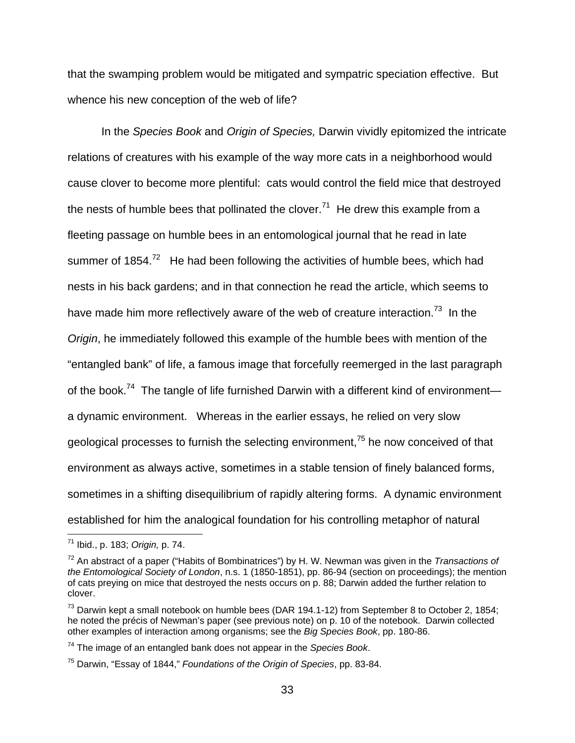that the swamping problem would be mitigated and sympatric speciation effective. But whence his new conception of the web of life?

 In the *Species Book* and *Origin of Species,* Darwin vividly epitomized the intricate relations of creatures with his example of the way more cats in a neighborhood would cause clover to become more plentiful: cats would control the field mice that destroyed the nests of humble bees that pollinated the clover.<sup>71</sup> He drew this example from a fleeting passage on humble bees in an entomological journal that he read in late summer of  $1854.<sup>72</sup>$  He had been following the activities of humble bees, which had nests in his back gardens; and in that connection he read the article, which seems to have made him more reflectively aware of the web of creature interaction.<sup>73</sup> In the *Origin*, he immediately followed this example of the humble bees with mention of the "entangled bank" of life, a famous image that forcefully reemerged in the last paragraph of the book.<sup>74</sup> The tangle of life furnished Darwin with a different kind of environment a dynamic environment. Whereas in the earlier essays, he relied on very slow geological processes to furnish the selecting environment, $75$  he now conceived of that environment as always active, sometimes in a stable tension of finely balanced forms, sometimes in a shifting disequilibrium of rapidly altering forms. A dynamic environment established for him the analogical foundation for his controlling metaphor of natural

<sup>71</sup> Ibid., p. 183; *Origin,* p. 74.

<sup>72</sup> An abstract of a paper ("Habits of Bombinatrices") by H. W. Newman was given in the *Transactions of the Entomological Society of London*, n.s. 1 (1850-1851), pp. 86-94 (section on proceedings); the mention of cats preying on mice that destroyed the nests occurs on p. 88; Darwin added the further relation to clover.

 $73$  Darwin kept a small notebook on humble bees (DAR 194.1-12) from September 8 to October 2, 1854; he noted the précis of Newman's paper (see previous note) on p. 10 of the notebook. Darwin collected other examples of interaction among organisms; see the *Big Species Book*, pp. 180-86.

<sup>74</sup> The image of an entangled bank does not appear in the *Species Book*.

<sup>75</sup> Darwin, "Essay of 1844," *Foundations of the Origin of Species*, pp. 83-84.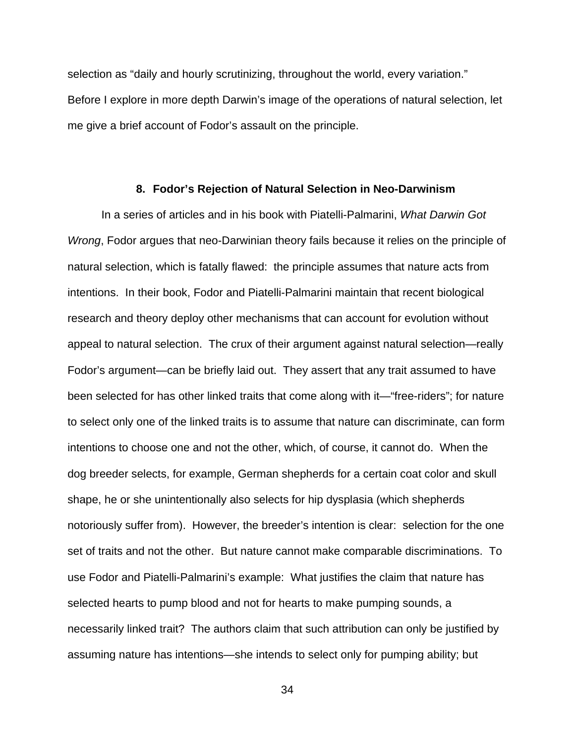selection as "daily and hourly scrutinizing, throughout the world, every variation." Before I explore in more depth Darwin's image of the operations of natural selection, let me give a brief account of Fodor's assault on the principle.

#### **8. Fodor's Rejection of Natural Selection in Neo-Darwinism**

 In a series of articles and in his book with Piatelli-Palmarini, *What Darwin Got Wrong*, Fodor argues that neo-Darwinian theory fails because it relies on the principle of natural selection, which is fatally flawed: the principle assumes that nature acts from intentions. In their book, Fodor and Piatelli-Palmarini maintain that recent biological research and theory deploy other mechanisms that can account for evolution without appeal to natural selection. The crux of their argument against natural selection—really Fodor's argument—can be briefly laid out. They assert that any trait assumed to have been selected for has other linked traits that come along with it—"free-riders"; for nature to select only one of the linked traits is to assume that nature can discriminate, can form intentions to choose one and not the other, which, of course, it cannot do. When the dog breeder selects, for example, German shepherds for a certain coat color and skull shape, he or she unintentionally also selects for hip dysplasia (which shepherds notoriously suffer from). However, the breeder's intention is clear: selection for the one set of traits and not the other. But nature cannot make comparable discriminations. To use Fodor and Piatelli-Palmarini's example: What justifies the claim that nature has selected hearts to pump blood and not for hearts to make pumping sounds, a necessarily linked trait? The authors claim that such attribution can only be justified by assuming nature has intentions—she intends to select only for pumping ability; but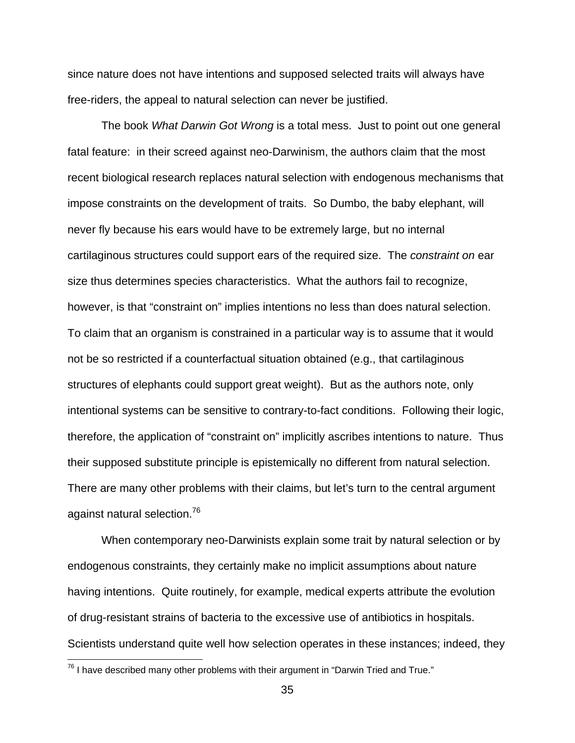since nature does not have intentions and supposed selected traits will always have free-riders, the appeal to natural selection can never be justified.

 The book *What Darwin Got Wrong* is a total mess. Just to point out one general fatal feature: in their screed against neo-Darwinism, the authors claim that the most recent biological research replaces natural selection with endogenous mechanisms that impose constraints on the development of traits. So Dumbo, the baby elephant, will never fly because his ears would have to be extremely large, but no internal cartilaginous structures could support ears of the required size. The *constraint on* ear size thus determines species characteristics. What the authors fail to recognize, however, is that "constraint on" implies intentions no less than does natural selection. To claim that an organism is constrained in a particular way is to assume that it would not be so restricted if a counterfactual situation obtained (e.g., that cartilaginous structures of elephants could support great weight). But as the authors note, only intentional systems can be sensitive to contrary-to-fact conditions. Following their logic, therefore, the application of "constraint on" implicitly ascribes intentions to nature. Thus their supposed substitute principle is epistemically no different from natural selection. There are many other problems with their claims, but let's turn to the central argument against natural selection.<sup>76</sup>

 When contemporary neo-Darwinists explain some trait by natural selection or by endogenous constraints, they certainly make no implicit assumptions about nature having intentions. Quite routinely, for example, medical experts attribute the evolution of drug-resistant strains of bacteria to the excessive use of antibiotics in hospitals. Scientists understand quite well how selection operates in these instances; indeed, they

 $76$  I have described many other problems with their argument in "Darwin Tried and True."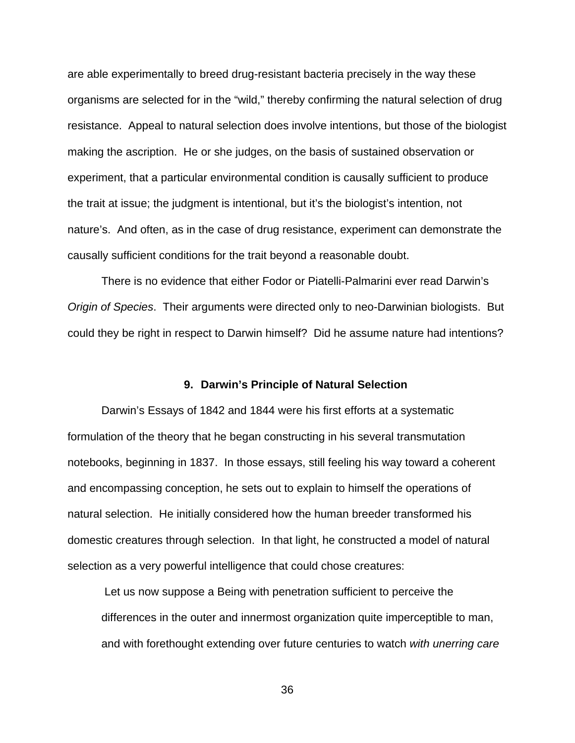are able experimentally to breed drug-resistant bacteria precisely in the way these organisms are selected for in the "wild," thereby confirming the natural selection of drug resistance. Appeal to natural selection does involve intentions, but those of the biologist making the ascription. He or she judges, on the basis of sustained observation or experiment, that a particular environmental condition is causally sufficient to produce the trait at issue; the judgment is intentional, but it's the biologist's intention, not nature's. And often, as in the case of drug resistance, experiment can demonstrate the causally sufficient conditions for the trait beyond a reasonable doubt.

 There is no evidence that either Fodor or Piatelli-Palmarini ever read Darwin's *Origin of Species*. Their arguments were directed only to neo-Darwinian biologists. But could they be right in respect to Darwin himself? Did he assume nature had intentions?

#### **9. Darwin's Principle of Natural Selection**

 Darwin's Essays of 1842 and 1844 were his first efforts at a systematic formulation of the theory that he began constructing in his several transmutation notebooks, beginning in 1837. In those essays, still feeling his way toward a coherent and encompassing conception, he sets out to explain to himself the operations of natural selection. He initially considered how the human breeder transformed his domestic creatures through selection. In that light, he constructed a model of natural selection as a very powerful intelligence that could chose creatures:

 Let us now suppose a Being with penetration sufficient to perceive the differences in the outer and innermost organization quite imperceptible to man, and with forethought extending over future centuries to watch *with unerring care*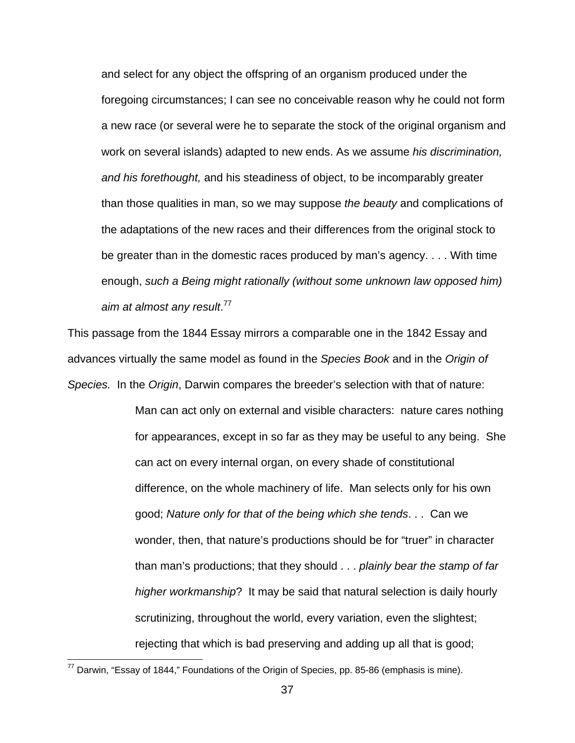and select for any object the offspring of an organism produced under the foregoing circumstances; I can see no conceivable reason why he could not form a new race (or several were he to separate the stock of the original organism and work on several islands) adapted to new ends. As we assume *his discrimination, and his forethought,* and his steadiness of object, to be incomparably greater than those qualities in man, so we may suppose *the beauty* and complications of the adaptations of the new races and their differences from the original stock to be greater than in the domestic races produced by man's agency. . . . With time enough, *such a Being might rationally (without some unknown law opposed him) aim at almost any result*. 77

This passage from the 1844 Essay mirrors a comparable one in the 1842 Essay and advances virtually the same model as found in the *Species Book* and in the *Origin of Species.* In the *Origin*, Darwin compares the breeder's selection with that of nature:

> Man can act only on external and visible characters: nature cares nothing for appearances, except in so far as they may be useful to any being. She can act on every internal organ, on every shade of constitutional difference, on the whole machinery of life. Man selects only for his own good; *Nature only for that of the being which she tends*. . . Can we wonder, then, that nature's productions should be for "truer" in character than man's productions; that they should . . . *plainly bear the stamp of far higher workmanship*? It may be said that natural selection is daily hourly scrutinizing, throughout the world, every variation, even the slightest; rejecting that which is bad preserving and adding up all that is good;

 $^{77}$  Darwin, "Essay of 1844," Foundations of the Origin of Species, pp. 85-86 (emphasis is mine).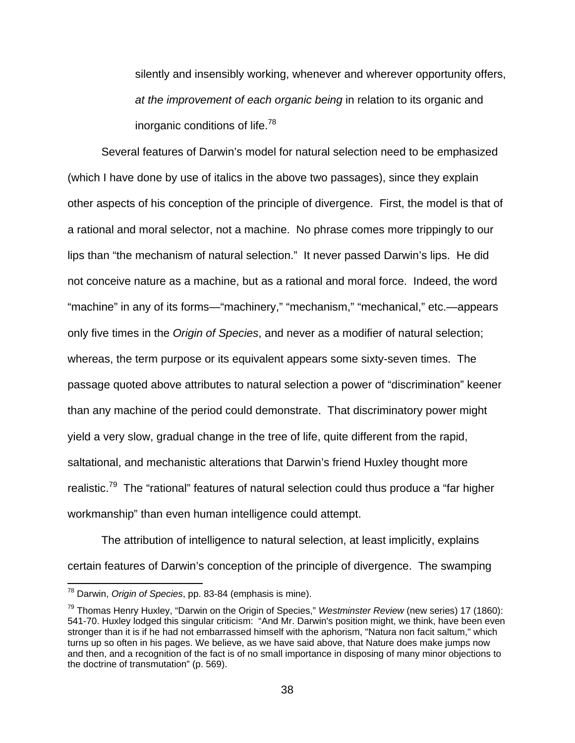silently and insensibly working, whenever and wherever opportunity offers, *at the improvement of each organic being* in relation to its organic and inorganic conditions of life.<sup>78</sup>

 Several features of Darwin's model for natural selection need to be emphasized (which I have done by use of italics in the above two passages), since they explain other aspects of his conception of the principle of divergence. First, the model is that of a rational and moral selector, not a machine. No phrase comes more trippingly to our lips than "the mechanism of natural selection." It never passed Darwin's lips. He did not conceive nature as a machine, but as a rational and moral force. Indeed, the word "machine" in any of its forms—"machinery," "mechanism," "mechanical," etc.—appears only five times in the *Origin of Species*, and never as a modifier of natural selection; whereas, the term purpose or its equivalent appears some sixty-seven times. The passage quoted above attributes to natural selection a power of "discrimination" keener than any machine of the period could demonstrate. That discriminatory power might yield a very slow, gradual change in the tree of life, quite different from the rapid, saltational, and mechanistic alterations that Darwin's friend Huxley thought more realistic.<sup>79</sup> The "rational" features of natural selection could thus produce a "far higher workmanship" than even human intelligence could attempt.

 The attribution of intelligence to natural selection, at least implicitly, explains certain features of Darwin's conception of the principle of divergence. The swamping

<sup>78</sup> Darwin, *Origin of Species*, pp. 83-84 (emphasis is mine).

<sup>79</sup> Thomas Henry Huxley, "Darwin on the Origin of Species," *Westminster Review* (new series) 17 (1860): 541-70. Huxley lodged this singular criticism: "And Mr. Darwin's position might, we think, have been even stronger than it is if he had not embarrassed himself with the aphorism, "Natura non facit saltum," which turns up so often in his pages. We believe, as we have said above, that Nature does make jumps now and then, and a recognition of the fact is of no small importance in disposing of many minor objections to the doctrine of transmutation" (p. 569).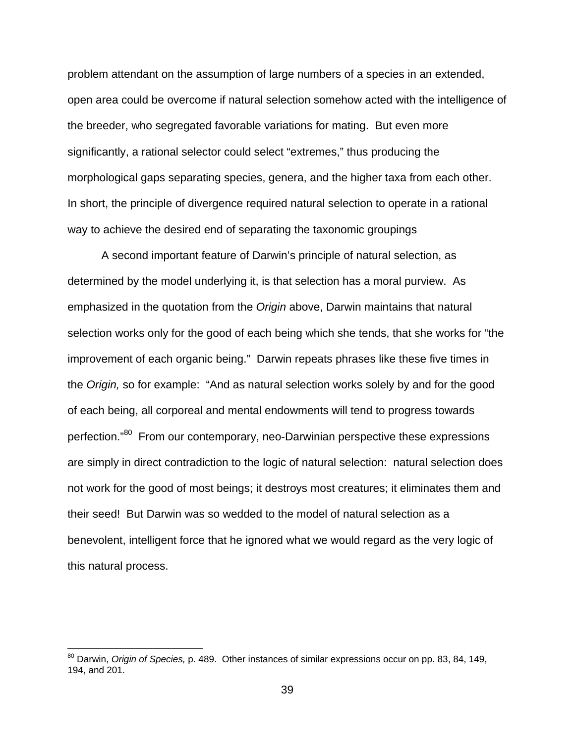problem attendant on the assumption of large numbers of a species in an extended, open area could be overcome if natural selection somehow acted with the intelligence of the breeder, who segregated favorable variations for mating. But even more significantly, a rational selector could select "extremes," thus producing the morphological gaps separating species, genera, and the higher taxa from each other. In short, the principle of divergence required natural selection to operate in a rational way to achieve the desired end of separating the taxonomic groupings

 A second important feature of Darwin's principle of natural selection, as determined by the model underlying it, is that selection has a moral purview. As emphasized in the quotation from the *Origin* above, Darwin maintains that natural selection works only for the good of each being which she tends, that she works for "the improvement of each organic being." Darwin repeats phrases like these five times in the *Origin,* so for example: "And as natural selection works solely by and for the good of each being, all corporeal and mental endowments will tend to progress towards perfection."80 From our contemporary, neo-Darwinian perspective these expressions are simply in direct contradiction to the logic of natural selection: natural selection does not work for the good of most beings; it destroys most creatures; it eliminates them and their seed! But Darwin was so wedded to the model of natural selection as a benevolent, intelligent force that he ignored what we would regard as the very logic of this natural process.

<sup>80</sup> Darwin, *Origin of Species,* p. 489. Other instances of similar expressions occur on pp. 83, 84, 149, 194, and 201.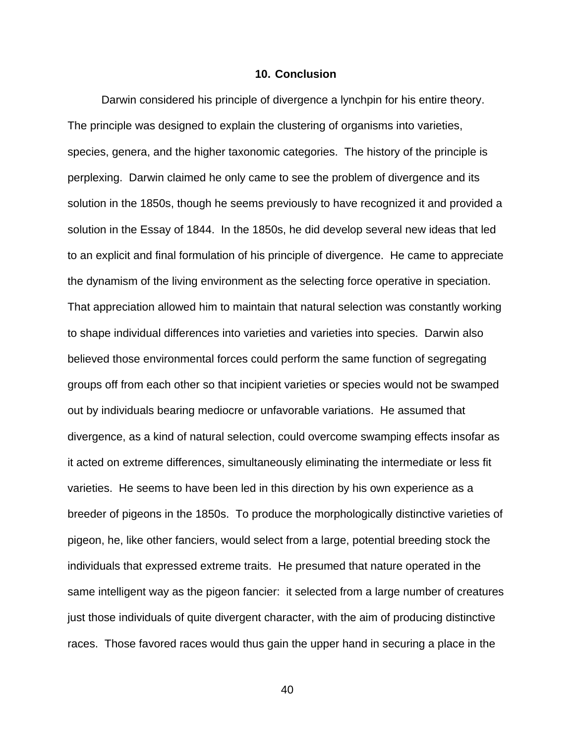#### **10. Conclusion**

Darwin considered his principle of divergence a lynchpin for his entire theory. The principle was designed to explain the clustering of organisms into varieties, species, genera, and the higher taxonomic categories. The history of the principle is perplexing. Darwin claimed he only came to see the problem of divergence and its solution in the 1850s, though he seems previously to have recognized it and provided a solution in the Essay of 1844. In the 1850s, he did develop several new ideas that led to an explicit and final formulation of his principle of divergence. He came to appreciate the dynamism of the living environment as the selecting force operative in speciation. That appreciation allowed him to maintain that natural selection was constantly working to shape individual differences into varieties and varieties into species. Darwin also believed those environmental forces could perform the same function of segregating groups off from each other so that incipient varieties or species would not be swamped out by individuals bearing mediocre or unfavorable variations. He assumed that divergence, as a kind of natural selection, could overcome swamping effects insofar as it acted on extreme differences, simultaneously eliminating the intermediate or less fit varieties. He seems to have been led in this direction by his own experience as a breeder of pigeons in the 1850s. To produce the morphologically distinctive varieties of pigeon, he, like other fanciers, would select from a large, potential breeding stock the individuals that expressed extreme traits. He presumed that nature operated in the same intelligent way as the pigeon fancier: it selected from a large number of creatures just those individuals of quite divergent character, with the aim of producing distinctive races. Those favored races would thus gain the upper hand in securing a place in the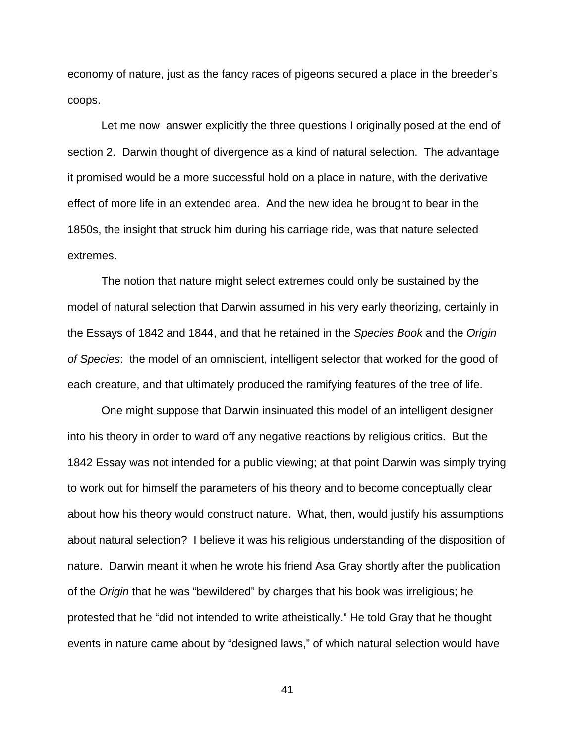economy of nature, just as the fancy races of pigeons secured a place in the breeder's coops.

 Let me now answer explicitly the three questions I originally posed at the end of section 2. Darwin thought of divergence as a kind of natural selection. The advantage it promised would be a more successful hold on a place in nature, with the derivative effect of more life in an extended area. And the new idea he brought to bear in the 1850s, the insight that struck him during his carriage ride, was that nature selected extremes.

 The notion that nature might select extremes could only be sustained by the model of natural selection that Darwin assumed in his very early theorizing, certainly in the Essays of 1842 and 1844, and that he retained in the *Species Book* and the *Origin of Species*: the model of an omniscient, intelligent selector that worked for the good of each creature, and that ultimately produced the ramifying features of the tree of life.

 One might suppose that Darwin insinuated this model of an intelligent designer into his theory in order to ward off any negative reactions by religious critics. But the 1842 Essay was not intended for a public viewing; at that point Darwin was simply trying to work out for himself the parameters of his theory and to become conceptually clear about how his theory would construct nature. What, then, would justify his assumptions about natural selection? I believe it was his religious understanding of the disposition of nature. Darwin meant it when he wrote his friend Asa Gray shortly after the publication of the *Origin* that he was "bewildered" by charges that his book was irreligious; he protested that he "did not intended to write atheistically." He told Gray that he thought events in nature came about by "designed laws," of which natural selection would have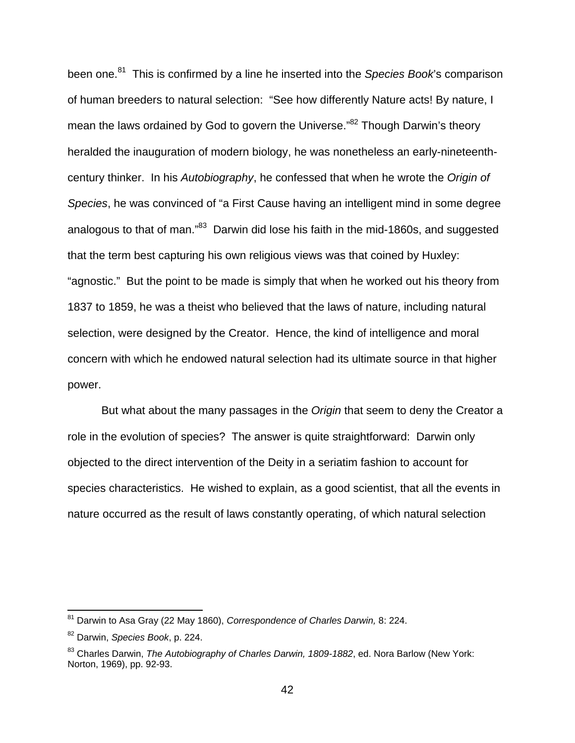been one.81 This is confirmed by a line he inserted into the *Species Book*'s comparison of human breeders to natural selection: "See how differently Nature acts! By nature, I mean the laws ordained by God to govern the Universe."<sup>82</sup> Though Darwin's theory heralded the inauguration of modern biology, he was nonetheless an early-nineteenthcentury thinker. In his *Autobiography*, he confessed that when he wrote the *Origin of Species*, he was convinced of "a First Cause having an intelligent mind in some degree analogous to that of man."<sup>83</sup> Darwin did lose his faith in the mid-1860s, and suggested that the term best capturing his own religious views was that coined by Huxley: "agnostic." But the point to be made is simply that when he worked out his theory from 1837 to 1859, he was a theist who believed that the laws of nature, including natural selection, were designed by the Creator. Hence, the kind of intelligence and moral concern with which he endowed natural selection had its ultimate source in that higher power.

 But what about the many passages in the *Origin* that seem to deny the Creator a role in the evolution of species? The answer is quite straightforward: Darwin only objected to the direct intervention of the Deity in a seriatim fashion to account for species characteristics. He wished to explain, as a good scientist, that all the events in nature occurred as the result of laws constantly operating, of which natural selection

<sup>81</sup> Darwin to Asa Gray (22 May 1860), *Correspondence of Charles Darwin,* 8: 224.

<sup>82</sup> Darwin, *Species Book*, p. 224.

<sup>83</sup> Charles Darwin, *The Autobiography of Charles Darwin, 1809-1882*, ed. Nora Barlow (New York: Norton, 1969), pp. 92-93.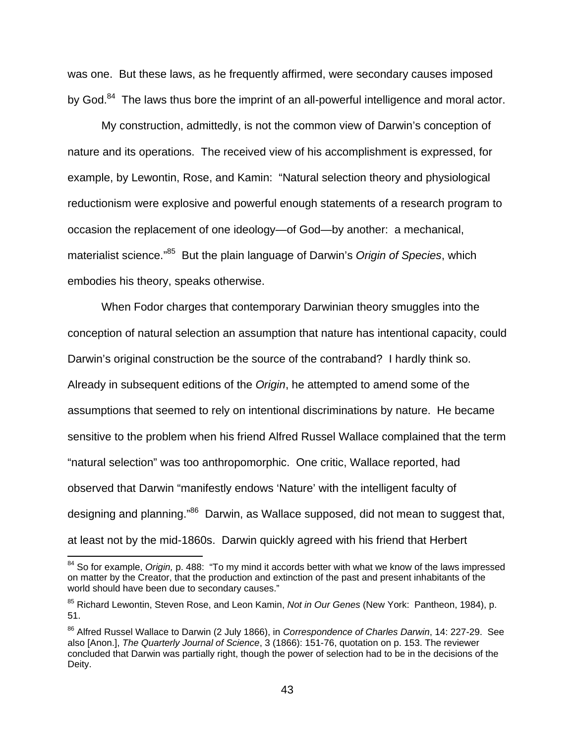was one. But these laws, as he frequently affirmed, were secondary causes imposed by God.<sup>84</sup> The laws thus bore the imprint of an all-powerful intelligence and moral actor.

 My construction, admittedly, is not the common view of Darwin's conception of nature and its operations. The received view of his accomplishment is expressed, for example, by Lewontin, Rose, and Kamin: "Natural selection theory and physiological reductionism were explosive and powerful enough statements of a research program to occasion the replacement of one ideology—of God—by another: a mechanical, materialist science."85 But the plain language of Darwin's *Origin of Species*, which embodies his theory, speaks otherwise.

 When Fodor charges that contemporary Darwinian theory smuggles into the conception of natural selection an assumption that nature has intentional capacity, could Darwin's original construction be the source of the contraband? I hardly think so. Already in subsequent editions of the *Origin*, he attempted to amend some of the assumptions that seemed to rely on intentional discriminations by nature. He became sensitive to the problem when his friend Alfred Russel Wallace complained that the term "natural selection" was too anthropomorphic. One critic, Wallace reported, had observed that Darwin "manifestly endows 'Nature' with the intelligent faculty of designing and planning.<sup>86</sup> Darwin, as Wallace supposed, did not mean to suggest that, at least not by the mid-1860s. Darwin quickly agreed with his friend that Herbert

<sup>84</sup> So for example, *Origin,* p. 488: "To my mind it accords better with what we know of the laws impressed on matter by the Creator, that the production and extinction of the past and present inhabitants of the world should have been due to secondary causes."

<sup>85</sup> Richard Lewontin, Steven Rose, and Leon Kamin, *Not in Our Genes* (New York: Pantheon, 1984), p. 51.

<sup>86</sup> Alfred Russel Wallace to Darwin (2 July 1866), in *Correspondence of Charles Darwin*, 14: 227-29. See also [Anon.], *The Quarterly Journal of Science*, 3 (1866): 151-76, quotation on p. 153. The reviewer concluded that Darwin was partially right, though the power of selection had to be in the decisions of the Deity.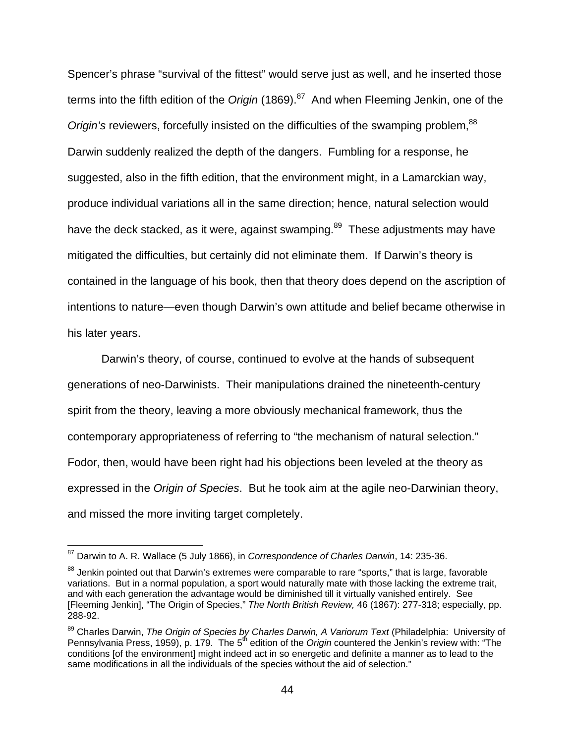Spencer's phrase "survival of the fittest" would serve just as well, and he inserted those terms into the fifth edition of the *Origin* (1869).<sup>87</sup> And when Fleeming Jenkin, one of the *Origin's* reviewers, forcefully insisted on the difficulties of the swamping problem,<sup>88</sup> Darwin suddenly realized the depth of the dangers. Fumbling for a response, he suggested, also in the fifth edition, that the environment might, in a Lamarckian way, produce individual variations all in the same direction; hence, natural selection would have the deck stacked, as it were, against swamping.<sup>89</sup> These adjustments may have mitigated the difficulties, but certainly did not eliminate them. If Darwin's theory is contained in the language of his book, then that theory does depend on the ascription of intentions to nature—even though Darwin's own attitude and belief became otherwise in his later years.

 Darwin's theory, of course, continued to evolve at the hands of subsequent generations of neo-Darwinists. Their manipulations drained the nineteenth-century spirit from the theory, leaving a more obviously mechanical framework, thus the contemporary appropriateness of referring to "the mechanism of natural selection." Fodor, then, would have been right had his objections been leveled at the theory as expressed in the *Origin of Species*. But he took aim at the agile neo-Darwinian theory, and missed the more inviting target completely.

<sup>87</sup> Darwin to A. R. Wallace (5 July 1866), in *Correspondence of Charles Darwin*, 14: 235-36.

<sup>&</sup>lt;sup>88</sup> Jenkin pointed out that Darwin's extremes were comparable to rare "sports," that is large, favorable variations. But in a normal population, a sport would naturally mate with those lacking the extreme trait, and with each generation the advantage would be diminished till it virtually vanished entirely. See [Fleeming Jenkin], "The Origin of Species," *The North British Review,* 46 (1867): 277-318; especially, pp. 288-92.

<sup>89</sup> Charles Darwin, *The Origin of Species by Charles Darwin, A Variorum Text* (Philadelphia: University of Pennsylvania Press, 1959), p. 179. The 5<sup>th</sup> edition of the *Origin* countered the Jenkin's review with: "The conditions [of the environment] might indeed act in so energetic and definite a manner as to lead to the same modifications in all the individuals of the species without the aid of selection."